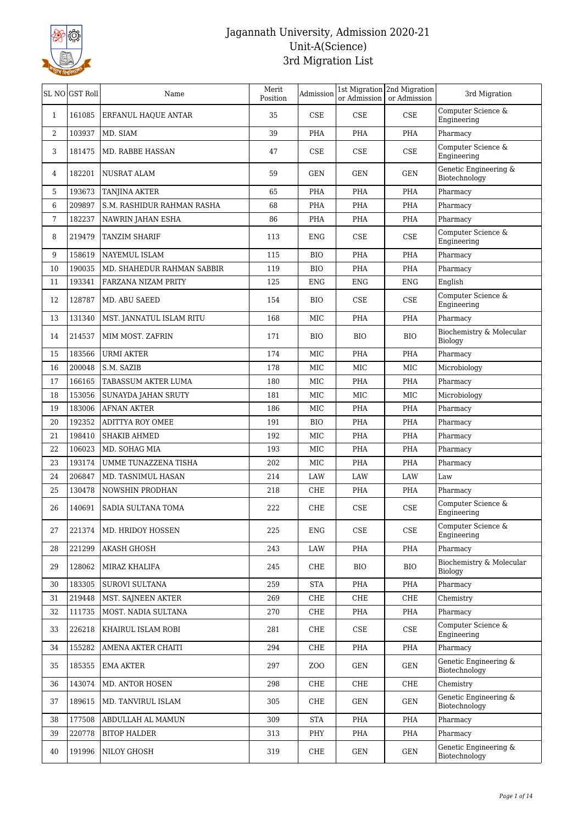

| Computer Science &<br>35<br>$\ensuremath{\mathsf{CSE}}$<br><b>CSE</b><br>CSE<br>161085<br><b>ERFANUL HAQUE ANTAR</b><br>$\mathbf{1}$<br>Engineering<br>103937<br>Pharmacy<br>2<br>MD. SIAM<br>39<br>PHA<br>PHA<br>PHA<br>Computer Science &<br>181475<br><b>CSE</b><br><b>CSE</b><br>3<br>MD. RABBE HASSAN<br>47<br>CSE<br>Engineering<br>Genetic Engineering &<br>182201<br><b>NUSRAT ALAM</b><br>59<br>GEN<br><b>GEN</b><br><b>GEN</b><br>4<br>Biotechnology<br>5<br>193673<br><b>TANJINA AKTER</b><br>65<br>PHA<br>PHA<br>PHA<br>Pharmacy<br>209897<br>6<br>S.M. RASHIDUR RAHMAN RASHA<br>68<br>PHA<br>PHA<br>PHA<br>Pharmacy<br>7<br>182237<br>NAWRIN JAHAN ESHA<br>86<br>PHA<br>PHA<br>PHA<br>Pharmacy<br>Computer Science &<br>219479<br>8<br><b>TANZIM SHARIF</b><br>113<br><b>ENG</b><br>CSE<br>CSE<br>Engineering<br>158619<br>PHA<br>PHA<br>9<br>NAYEMUL ISLAM<br>115<br><b>BIO</b><br>Pharmacy<br>190035<br>PHA<br>10<br>MD. SHAHEDUR RAHMAN SABBIR<br>119<br><b>BIO</b><br>PHA<br>Pharmacy<br>193341<br>125<br>English<br>11<br>FARZANA NIZAM PRITY<br><b>ENG</b><br><b>ENG</b><br><b>ENG</b><br>Computer Science &<br>128787<br>12<br>MD. ABU SAEED<br>154<br><b>BIO</b><br>CSE<br>CSE<br>Engineering<br>131340<br>13<br>MST. JANNATUL ISLAM RITU<br>168<br>MIC<br>PHA<br>PHA<br>Pharmacy<br>Biochemistry & Molecular<br>14<br>214537<br>MIM MOST. ZAFRIN<br>171<br><b>BIO</b><br><b>BIO</b><br><b>BIO</b><br>Biology<br>183566<br><b>URMI AKTER</b><br>MIC<br><b>PHA</b><br>PHA<br>15<br>174<br>Pharmacy<br>16<br>200048<br>S.M. SAZIB<br>$_{\rm MIC}$<br>MIC<br>MIC<br>Microbiology<br>178<br>17<br>166165<br><b>PHA</b><br>PHA<br>TABASSUM AKTER LUMA<br>180<br>MIC<br>Pharmacy<br>153056<br>MIC<br>MIC<br>MIC<br>18<br>SUNAYDA JAHAN SRUTY<br>181<br>Microbiology<br>183006<br><b>AFNAN AKTER</b><br><b>PHA</b><br>19<br>186<br>MIC<br><b>PHA</b><br>Pharmacy<br>192352<br>20<br>ADITTYA ROY OMEE<br>191<br><b>BIO</b><br><b>PHA</b><br>PHA<br>Pharmacy<br>198410<br>21<br>SHAKIB AHMED<br>192<br>MIC<br>PHA<br>PHA<br>Pharmacy<br>106023<br>MIC<br><b>PHA</b><br>22<br>MD. SOHAG MIA<br>193<br><b>PHA</b><br>Pharmacy<br>23<br>193174<br>UMME TUNAZZENA TISHA<br>202<br>MIC<br><b>PHA</b><br>PHA<br>Pharmacy<br>206847<br>24<br>MD. TASNIMUL HASAN<br>214<br>LAW<br><b>LAW</b><br>LAW<br>Law<br>25<br>130478<br><b>NOWSHIN PRODHAN</b><br>CHE<br>PHA<br>PHA<br>218<br>Pharmacy<br>Computer Science &<br>26<br>140691<br>SADIA SULTANA TOMA<br>222<br>CHE<br>CSE<br>CSE<br>Engineering<br>Computer Science &<br>221374<br>MD. HRIDOY HOSSEN<br>CSE<br>$\ensuremath{\mathsf{CSE}}$<br>27<br>225<br><b>ENG</b><br>Engineering<br>221299<br>PHA<br>28<br><b>AKASH GHOSH</b><br>243<br>LAW<br>PHA<br>Pharmacy<br>Biochemistry & Molecular<br>29<br>128062<br><b>BIO</b><br>MIRAZ KHALIFA<br>245<br>CHE<br>BIO<br>Biology<br>30<br>183305<br><b>SUROVI SULTANA</b><br>259<br>STA<br>PHA<br>PHA<br>Pharmacy<br>31<br>219448<br>MST. SAJNEEN AKTER<br>269<br>CHE<br><b>CHE</b><br>CHE<br>Chemistry<br>111735<br>MOST. NADIA SULTANA<br>32<br>270<br>CHE<br>PHA<br>PHA<br>Pharmacy<br>Computer Science &<br>226218<br>33<br>KHAIRUL ISLAM ROBI<br>281<br>CHE<br>CSE<br>CSE<br>Engineering<br>34<br>155282<br>AMENA AKTER CHAITI<br>294<br>CHE<br>PHA<br>PHA<br>Pharmacy<br>Genetic Engineering &<br>297<br>35<br>185355<br><b>EMA AKTER</b><br>ZOO<br>GEN<br>GEN<br>Biotechnology<br>36<br>143074<br>MD. ANTOR HOSEN<br>298<br>CHE<br>CHE<br>CHE<br>Chemistry<br>Genetic Engineering &<br>37<br>189615<br>MD. TANVIRUL ISLAM<br>GEN<br>GEN<br>305<br>CHE<br>Biotechnology<br>177508<br>38<br>ABDULLAH AL MAMUN<br>309<br>STA<br>PHA<br>PHA<br>Pharmacy<br>39<br>220778<br><b>BITOP HALDER</b><br>313<br>PHY<br>PHA<br>PHA<br>Pharmacy<br>Genetic Engineering &<br>NILOY GHOSH<br>319<br>GEN<br>40<br>191996<br>CHE<br>GEN<br>Biotechnology | SL NO GST Roll | Name | Merit<br>Position | Admission | 1st Migration 2nd Migration<br>or Admission or Admission | 3rd Migration |
|-----------------------------------------------------------------------------------------------------------------------------------------------------------------------------------------------------------------------------------------------------------------------------------------------------------------------------------------------------------------------------------------------------------------------------------------------------------------------------------------------------------------------------------------------------------------------------------------------------------------------------------------------------------------------------------------------------------------------------------------------------------------------------------------------------------------------------------------------------------------------------------------------------------------------------------------------------------------------------------------------------------------------------------------------------------------------------------------------------------------------------------------------------------------------------------------------------------------------------------------------------------------------------------------------------------------------------------------------------------------------------------------------------------------------------------------------------------------------------------------------------------------------------------------------------------------------------------------------------------------------------------------------------------------------------------------------------------------------------------------------------------------------------------------------------------------------------------------------------------------------------------------------------------------------------------------------------------------------------------------------------------------------------------------------------------------------------------------------------------------------------------------------------------------------------------------------------------------------------------------------------------------------------------------------------------------------------------------------------------------------------------------------------------------------------------------------------------------------------------------------------------------------------------------------------------------------------------------------------------------------------------------------------------------------------------------------------------------------------------------------------------------------------------------------------------------------------------------------------------------------------------------------------------------------------------------------------------------------------------------------------------------------------------------------------------------------------------------------------------------------------------------------------------------------------------------------------------------------------------------------------------------------------------------------------------------------------------------------------------------------------------------------------------------------------------------------------------------------------------------------------------------------------------------------------------------------------------------------------------------------------------------------------------------------------------------------------------------------------------------------------------------------------------------------------------------------------------------------------|----------------|------|-------------------|-----------|----------------------------------------------------------|---------------|
|                                                                                                                                                                                                                                                                                                                                                                                                                                                                                                                                                                                                                                                                                                                                                                                                                                                                                                                                                                                                                                                                                                                                                                                                                                                                                                                                                                                                                                                                                                                                                                                                                                                                                                                                                                                                                                                                                                                                                                                                                                                                                                                                                                                                                                                                                                                                                                                                                                                                                                                                                                                                                                                                                                                                                                                                                                                                                                                                                                                                                                                                                                                                                                                                                                                                                                                                                                                                                                                                                                                                                                                                                                                                                                                                                                                                                                                     |                |      |                   |           |                                                          |               |
|                                                                                                                                                                                                                                                                                                                                                                                                                                                                                                                                                                                                                                                                                                                                                                                                                                                                                                                                                                                                                                                                                                                                                                                                                                                                                                                                                                                                                                                                                                                                                                                                                                                                                                                                                                                                                                                                                                                                                                                                                                                                                                                                                                                                                                                                                                                                                                                                                                                                                                                                                                                                                                                                                                                                                                                                                                                                                                                                                                                                                                                                                                                                                                                                                                                                                                                                                                                                                                                                                                                                                                                                                                                                                                                                                                                                                                                     |                |      |                   |           |                                                          |               |
|                                                                                                                                                                                                                                                                                                                                                                                                                                                                                                                                                                                                                                                                                                                                                                                                                                                                                                                                                                                                                                                                                                                                                                                                                                                                                                                                                                                                                                                                                                                                                                                                                                                                                                                                                                                                                                                                                                                                                                                                                                                                                                                                                                                                                                                                                                                                                                                                                                                                                                                                                                                                                                                                                                                                                                                                                                                                                                                                                                                                                                                                                                                                                                                                                                                                                                                                                                                                                                                                                                                                                                                                                                                                                                                                                                                                                                                     |                |      |                   |           |                                                          |               |
|                                                                                                                                                                                                                                                                                                                                                                                                                                                                                                                                                                                                                                                                                                                                                                                                                                                                                                                                                                                                                                                                                                                                                                                                                                                                                                                                                                                                                                                                                                                                                                                                                                                                                                                                                                                                                                                                                                                                                                                                                                                                                                                                                                                                                                                                                                                                                                                                                                                                                                                                                                                                                                                                                                                                                                                                                                                                                                                                                                                                                                                                                                                                                                                                                                                                                                                                                                                                                                                                                                                                                                                                                                                                                                                                                                                                                                                     |                |      |                   |           |                                                          |               |
|                                                                                                                                                                                                                                                                                                                                                                                                                                                                                                                                                                                                                                                                                                                                                                                                                                                                                                                                                                                                                                                                                                                                                                                                                                                                                                                                                                                                                                                                                                                                                                                                                                                                                                                                                                                                                                                                                                                                                                                                                                                                                                                                                                                                                                                                                                                                                                                                                                                                                                                                                                                                                                                                                                                                                                                                                                                                                                                                                                                                                                                                                                                                                                                                                                                                                                                                                                                                                                                                                                                                                                                                                                                                                                                                                                                                                                                     |                |      |                   |           |                                                          |               |
|                                                                                                                                                                                                                                                                                                                                                                                                                                                                                                                                                                                                                                                                                                                                                                                                                                                                                                                                                                                                                                                                                                                                                                                                                                                                                                                                                                                                                                                                                                                                                                                                                                                                                                                                                                                                                                                                                                                                                                                                                                                                                                                                                                                                                                                                                                                                                                                                                                                                                                                                                                                                                                                                                                                                                                                                                                                                                                                                                                                                                                                                                                                                                                                                                                                                                                                                                                                                                                                                                                                                                                                                                                                                                                                                                                                                                                                     |                |      |                   |           |                                                          |               |
|                                                                                                                                                                                                                                                                                                                                                                                                                                                                                                                                                                                                                                                                                                                                                                                                                                                                                                                                                                                                                                                                                                                                                                                                                                                                                                                                                                                                                                                                                                                                                                                                                                                                                                                                                                                                                                                                                                                                                                                                                                                                                                                                                                                                                                                                                                                                                                                                                                                                                                                                                                                                                                                                                                                                                                                                                                                                                                                                                                                                                                                                                                                                                                                                                                                                                                                                                                                                                                                                                                                                                                                                                                                                                                                                                                                                                                                     |                |      |                   |           |                                                          |               |
|                                                                                                                                                                                                                                                                                                                                                                                                                                                                                                                                                                                                                                                                                                                                                                                                                                                                                                                                                                                                                                                                                                                                                                                                                                                                                                                                                                                                                                                                                                                                                                                                                                                                                                                                                                                                                                                                                                                                                                                                                                                                                                                                                                                                                                                                                                                                                                                                                                                                                                                                                                                                                                                                                                                                                                                                                                                                                                                                                                                                                                                                                                                                                                                                                                                                                                                                                                                                                                                                                                                                                                                                                                                                                                                                                                                                                                                     |                |      |                   |           |                                                          |               |
|                                                                                                                                                                                                                                                                                                                                                                                                                                                                                                                                                                                                                                                                                                                                                                                                                                                                                                                                                                                                                                                                                                                                                                                                                                                                                                                                                                                                                                                                                                                                                                                                                                                                                                                                                                                                                                                                                                                                                                                                                                                                                                                                                                                                                                                                                                                                                                                                                                                                                                                                                                                                                                                                                                                                                                                                                                                                                                                                                                                                                                                                                                                                                                                                                                                                                                                                                                                                                                                                                                                                                                                                                                                                                                                                                                                                                                                     |                |      |                   |           |                                                          |               |
|                                                                                                                                                                                                                                                                                                                                                                                                                                                                                                                                                                                                                                                                                                                                                                                                                                                                                                                                                                                                                                                                                                                                                                                                                                                                                                                                                                                                                                                                                                                                                                                                                                                                                                                                                                                                                                                                                                                                                                                                                                                                                                                                                                                                                                                                                                                                                                                                                                                                                                                                                                                                                                                                                                                                                                                                                                                                                                                                                                                                                                                                                                                                                                                                                                                                                                                                                                                                                                                                                                                                                                                                                                                                                                                                                                                                                                                     |                |      |                   |           |                                                          |               |
|                                                                                                                                                                                                                                                                                                                                                                                                                                                                                                                                                                                                                                                                                                                                                                                                                                                                                                                                                                                                                                                                                                                                                                                                                                                                                                                                                                                                                                                                                                                                                                                                                                                                                                                                                                                                                                                                                                                                                                                                                                                                                                                                                                                                                                                                                                                                                                                                                                                                                                                                                                                                                                                                                                                                                                                                                                                                                                                                                                                                                                                                                                                                                                                                                                                                                                                                                                                                                                                                                                                                                                                                                                                                                                                                                                                                                                                     |                |      |                   |           |                                                          |               |
|                                                                                                                                                                                                                                                                                                                                                                                                                                                                                                                                                                                                                                                                                                                                                                                                                                                                                                                                                                                                                                                                                                                                                                                                                                                                                                                                                                                                                                                                                                                                                                                                                                                                                                                                                                                                                                                                                                                                                                                                                                                                                                                                                                                                                                                                                                                                                                                                                                                                                                                                                                                                                                                                                                                                                                                                                                                                                                                                                                                                                                                                                                                                                                                                                                                                                                                                                                                                                                                                                                                                                                                                                                                                                                                                                                                                                                                     |                |      |                   |           |                                                          |               |
|                                                                                                                                                                                                                                                                                                                                                                                                                                                                                                                                                                                                                                                                                                                                                                                                                                                                                                                                                                                                                                                                                                                                                                                                                                                                                                                                                                                                                                                                                                                                                                                                                                                                                                                                                                                                                                                                                                                                                                                                                                                                                                                                                                                                                                                                                                                                                                                                                                                                                                                                                                                                                                                                                                                                                                                                                                                                                                                                                                                                                                                                                                                                                                                                                                                                                                                                                                                                                                                                                                                                                                                                                                                                                                                                                                                                                                                     |                |      |                   |           |                                                          |               |
|                                                                                                                                                                                                                                                                                                                                                                                                                                                                                                                                                                                                                                                                                                                                                                                                                                                                                                                                                                                                                                                                                                                                                                                                                                                                                                                                                                                                                                                                                                                                                                                                                                                                                                                                                                                                                                                                                                                                                                                                                                                                                                                                                                                                                                                                                                                                                                                                                                                                                                                                                                                                                                                                                                                                                                                                                                                                                                                                                                                                                                                                                                                                                                                                                                                                                                                                                                                                                                                                                                                                                                                                                                                                                                                                                                                                                                                     |                |      |                   |           |                                                          |               |
|                                                                                                                                                                                                                                                                                                                                                                                                                                                                                                                                                                                                                                                                                                                                                                                                                                                                                                                                                                                                                                                                                                                                                                                                                                                                                                                                                                                                                                                                                                                                                                                                                                                                                                                                                                                                                                                                                                                                                                                                                                                                                                                                                                                                                                                                                                                                                                                                                                                                                                                                                                                                                                                                                                                                                                                                                                                                                                                                                                                                                                                                                                                                                                                                                                                                                                                                                                                                                                                                                                                                                                                                                                                                                                                                                                                                                                                     |                |      |                   |           |                                                          |               |
|                                                                                                                                                                                                                                                                                                                                                                                                                                                                                                                                                                                                                                                                                                                                                                                                                                                                                                                                                                                                                                                                                                                                                                                                                                                                                                                                                                                                                                                                                                                                                                                                                                                                                                                                                                                                                                                                                                                                                                                                                                                                                                                                                                                                                                                                                                                                                                                                                                                                                                                                                                                                                                                                                                                                                                                                                                                                                                                                                                                                                                                                                                                                                                                                                                                                                                                                                                                                                                                                                                                                                                                                                                                                                                                                                                                                                                                     |                |      |                   |           |                                                          |               |
|                                                                                                                                                                                                                                                                                                                                                                                                                                                                                                                                                                                                                                                                                                                                                                                                                                                                                                                                                                                                                                                                                                                                                                                                                                                                                                                                                                                                                                                                                                                                                                                                                                                                                                                                                                                                                                                                                                                                                                                                                                                                                                                                                                                                                                                                                                                                                                                                                                                                                                                                                                                                                                                                                                                                                                                                                                                                                                                                                                                                                                                                                                                                                                                                                                                                                                                                                                                                                                                                                                                                                                                                                                                                                                                                                                                                                                                     |                |      |                   |           |                                                          |               |
|                                                                                                                                                                                                                                                                                                                                                                                                                                                                                                                                                                                                                                                                                                                                                                                                                                                                                                                                                                                                                                                                                                                                                                                                                                                                                                                                                                                                                                                                                                                                                                                                                                                                                                                                                                                                                                                                                                                                                                                                                                                                                                                                                                                                                                                                                                                                                                                                                                                                                                                                                                                                                                                                                                                                                                                                                                                                                                                                                                                                                                                                                                                                                                                                                                                                                                                                                                                                                                                                                                                                                                                                                                                                                                                                                                                                                                                     |                |      |                   |           |                                                          |               |
|                                                                                                                                                                                                                                                                                                                                                                                                                                                                                                                                                                                                                                                                                                                                                                                                                                                                                                                                                                                                                                                                                                                                                                                                                                                                                                                                                                                                                                                                                                                                                                                                                                                                                                                                                                                                                                                                                                                                                                                                                                                                                                                                                                                                                                                                                                                                                                                                                                                                                                                                                                                                                                                                                                                                                                                                                                                                                                                                                                                                                                                                                                                                                                                                                                                                                                                                                                                                                                                                                                                                                                                                                                                                                                                                                                                                                                                     |                |      |                   |           |                                                          |               |
|                                                                                                                                                                                                                                                                                                                                                                                                                                                                                                                                                                                                                                                                                                                                                                                                                                                                                                                                                                                                                                                                                                                                                                                                                                                                                                                                                                                                                                                                                                                                                                                                                                                                                                                                                                                                                                                                                                                                                                                                                                                                                                                                                                                                                                                                                                                                                                                                                                                                                                                                                                                                                                                                                                                                                                                                                                                                                                                                                                                                                                                                                                                                                                                                                                                                                                                                                                                                                                                                                                                                                                                                                                                                                                                                                                                                                                                     |                |      |                   |           |                                                          |               |
|                                                                                                                                                                                                                                                                                                                                                                                                                                                                                                                                                                                                                                                                                                                                                                                                                                                                                                                                                                                                                                                                                                                                                                                                                                                                                                                                                                                                                                                                                                                                                                                                                                                                                                                                                                                                                                                                                                                                                                                                                                                                                                                                                                                                                                                                                                                                                                                                                                                                                                                                                                                                                                                                                                                                                                                                                                                                                                                                                                                                                                                                                                                                                                                                                                                                                                                                                                                                                                                                                                                                                                                                                                                                                                                                                                                                                                                     |                |      |                   |           |                                                          |               |
|                                                                                                                                                                                                                                                                                                                                                                                                                                                                                                                                                                                                                                                                                                                                                                                                                                                                                                                                                                                                                                                                                                                                                                                                                                                                                                                                                                                                                                                                                                                                                                                                                                                                                                                                                                                                                                                                                                                                                                                                                                                                                                                                                                                                                                                                                                                                                                                                                                                                                                                                                                                                                                                                                                                                                                                                                                                                                                                                                                                                                                                                                                                                                                                                                                                                                                                                                                                                                                                                                                                                                                                                                                                                                                                                                                                                                                                     |                |      |                   |           |                                                          |               |
|                                                                                                                                                                                                                                                                                                                                                                                                                                                                                                                                                                                                                                                                                                                                                                                                                                                                                                                                                                                                                                                                                                                                                                                                                                                                                                                                                                                                                                                                                                                                                                                                                                                                                                                                                                                                                                                                                                                                                                                                                                                                                                                                                                                                                                                                                                                                                                                                                                                                                                                                                                                                                                                                                                                                                                                                                                                                                                                                                                                                                                                                                                                                                                                                                                                                                                                                                                                                                                                                                                                                                                                                                                                                                                                                                                                                                                                     |                |      |                   |           |                                                          |               |
|                                                                                                                                                                                                                                                                                                                                                                                                                                                                                                                                                                                                                                                                                                                                                                                                                                                                                                                                                                                                                                                                                                                                                                                                                                                                                                                                                                                                                                                                                                                                                                                                                                                                                                                                                                                                                                                                                                                                                                                                                                                                                                                                                                                                                                                                                                                                                                                                                                                                                                                                                                                                                                                                                                                                                                                                                                                                                                                                                                                                                                                                                                                                                                                                                                                                                                                                                                                                                                                                                                                                                                                                                                                                                                                                                                                                                                                     |                |      |                   |           |                                                          |               |
|                                                                                                                                                                                                                                                                                                                                                                                                                                                                                                                                                                                                                                                                                                                                                                                                                                                                                                                                                                                                                                                                                                                                                                                                                                                                                                                                                                                                                                                                                                                                                                                                                                                                                                                                                                                                                                                                                                                                                                                                                                                                                                                                                                                                                                                                                                                                                                                                                                                                                                                                                                                                                                                                                                                                                                                                                                                                                                                                                                                                                                                                                                                                                                                                                                                                                                                                                                                                                                                                                                                                                                                                                                                                                                                                                                                                                                                     |                |      |                   |           |                                                          |               |
|                                                                                                                                                                                                                                                                                                                                                                                                                                                                                                                                                                                                                                                                                                                                                                                                                                                                                                                                                                                                                                                                                                                                                                                                                                                                                                                                                                                                                                                                                                                                                                                                                                                                                                                                                                                                                                                                                                                                                                                                                                                                                                                                                                                                                                                                                                                                                                                                                                                                                                                                                                                                                                                                                                                                                                                                                                                                                                                                                                                                                                                                                                                                                                                                                                                                                                                                                                                                                                                                                                                                                                                                                                                                                                                                                                                                                                                     |                |      |                   |           |                                                          |               |
|                                                                                                                                                                                                                                                                                                                                                                                                                                                                                                                                                                                                                                                                                                                                                                                                                                                                                                                                                                                                                                                                                                                                                                                                                                                                                                                                                                                                                                                                                                                                                                                                                                                                                                                                                                                                                                                                                                                                                                                                                                                                                                                                                                                                                                                                                                                                                                                                                                                                                                                                                                                                                                                                                                                                                                                                                                                                                                                                                                                                                                                                                                                                                                                                                                                                                                                                                                                                                                                                                                                                                                                                                                                                                                                                                                                                                                                     |                |      |                   |           |                                                          |               |
|                                                                                                                                                                                                                                                                                                                                                                                                                                                                                                                                                                                                                                                                                                                                                                                                                                                                                                                                                                                                                                                                                                                                                                                                                                                                                                                                                                                                                                                                                                                                                                                                                                                                                                                                                                                                                                                                                                                                                                                                                                                                                                                                                                                                                                                                                                                                                                                                                                                                                                                                                                                                                                                                                                                                                                                                                                                                                                                                                                                                                                                                                                                                                                                                                                                                                                                                                                                                                                                                                                                                                                                                                                                                                                                                                                                                                                                     |                |      |                   |           |                                                          |               |
|                                                                                                                                                                                                                                                                                                                                                                                                                                                                                                                                                                                                                                                                                                                                                                                                                                                                                                                                                                                                                                                                                                                                                                                                                                                                                                                                                                                                                                                                                                                                                                                                                                                                                                                                                                                                                                                                                                                                                                                                                                                                                                                                                                                                                                                                                                                                                                                                                                                                                                                                                                                                                                                                                                                                                                                                                                                                                                                                                                                                                                                                                                                                                                                                                                                                                                                                                                                                                                                                                                                                                                                                                                                                                                                                                                                                                                                     |                |      |                   |           |                                                          |               |
|                                                                                                                                                                                                                                                                                                                                                                                                                                                                                                                                                                                                                                                                                                                                                                                                                                                                                                                                                                                                                                                                                                                                                                                                                                                                                                                                                                                                                                                                                                                                                                                                                                                                                                                                                                                                                                                                                                                                                                                                                                                                                                                                                                                                                                                                                                                                                                                                                                                                                                                                                                                                                                                                                                                                                                                                                                                                                                                                                                                                                                                                                                                                                                                                                                                                                                                                                                                                                                                                                                                                                                                                                                                                                                                                                                                                                                                     |                |      |                   |           |                                                          |               |
|                                                                                                                                                                                                                                                                                                                                                                                                                                                                                                                                                                                                                                                                                                                                                                                                                                                                                                                                                                                                                                                                                                                                                                                                                                                                                                                                                                                                                                                                                                                                                                                                                                                                                                                                                                                                                                                                                                                                                                                                                                                                                                                                                                                                                                                                                                                                                                                                                                                                                                                                                                                                                                                                                                                                                                                                                                                                                                                                                                                                                                                                                                                                                                                                                                                                                                                                                                                                                                                                                                                                                                                                                                                                                                                                                                                                                                                     |                |      |                   |           |                                                          |               |
|                                                                                                                                                                                                                                                                                                                                                                                                                                                                                                                                                                                                                                                                                                                                                                                                                                                                                                                                                                                                                                                                                                                                                                                                                                                                                                                                                                                                                                                                                                                                                                                                                                                                                                                                                                                                                                                                                                                                                                                                                                                                                                                                                                                                                                                                                                                                                                                                                                                                                                                                                                                                                                                                                                                                                                                                                                                                                                                                                                                                                                                                                                                                                                                                                                                                                                                                                                                                                                                                                                                                                                                                                                                                                                                                                                                                                                                     |                |      |                   |           |                                                          |               |
|                                                                                                                                                                                                                                                                                                                                                                                                                                                                                                                                                                                                                                                                                                                                                                                                                                                                                                                                                                                                                                                                                                                                                                                                                                                                                                                                                                                                                                                                                                                                                                                                                                                                                                                                                                                                                                                                                                                                                                                                                                                                                                                                                                                                                                                                                                                                                                                                                                                                                                                                                                                                                                                                                                                                                                                                                                                                                                                                                                                                                                                                                                                                                                                                                                                                                                                                                                                                                                                                                                                                                                                                                                                                                                                                                                                                                                                     |                |      |                   |           |                                                          |               |
|                                                                                                                                                                                                                                                                                                                                                                                                                                                                                                                                                                                                                                                                                                                                                                                                                                                                                                                                                                                                                                                                                                                                                                                                                                                                                                                                                                                                                                                                                                                                                                                                                                                                                                                                                                                                                                                                                                                                                                                                                                                                                                                                                                                                                                                                                                                                                                                                                                                                                                                                                                                                                                                                                                                                                                                                                                                                                                                                                                                                                                                                                                                                                                                                                                                                                                                                                                                                                                                                                                                                                                                                                                                                                                                                                                                                                                                     |                |      |                   |           |                                                          |               |
|                                                                                                                                                                                                                                                                                                                                                                                                                                                                                                                                                                                                                                                                                                                                                                                                                                                                                                                                                                                                                                                                                                                                                                                                                                                                                                                                                                                                                                                                                                                                                                                                                                                                                                                                                                                                                                                                                                                                                                                                                                                                                                                                                                                                                                                                                                                                                                                                                                                                                                                                                                                                                                                                                                                                                                                                                                                                                                                                                                                                                                                                                                                                                                                                                                                                                                                                                                                                                                                                                                                                                                                                                                                                                                                                                                                                                                                     |                |      |                   |           |                                                          |               |
|                                                                                                                                                                                                                                                                                                                                                                                                                                                                                                                                                                                                                                                                                                                                                                                                                                                                                                                                                                                                                                                                                                                                                                                                                                                                                                                                                                                                                                                                                                                                                                                                                                                                                                                                                                                                                                                                                                                                                                                                                                                                                                                                                                                                                                                                                                                                                                                                                                                                                                                                                                                                                                                                                                                                                                                                                                                                                                                                                                                                                                                                                                                                                                                                                                                                                                                                                                                                                                                                                                                                                                                                                                                                                                                                                                                                                                                     |                |      |                   |           |                                                          |               |
|                                                                                                                                                                                                                                                                                                                                                                                                                                                                                                                                                                                                                                                                                                                                                                                                                                                                                                                                                                                                                                                                                                                                                                                                                                                                                                                                                                                                                                                                                                                                                                                                                                                                                                                                                                                                                                                                                                                                                                                                                                                                                                                                                                                                                                                                                                                                                                                                                                                                                                                                                                                                                                                                                                                                                                                                                                                                                                                                                                                                                                                                                                                                                                                                                                                                                                                                                                                                                                                                                                                                                                                                                                                                                                                                                                                                                                                     |                |      |                   |           |                                                          |               |
|                                                                                                                                                                                                                                                                                                                                                                                                                                                                                                                                                                                                                                                                                                                                                                                                                                                                                                                                                                                                                                                                                                                                                                                                                                                                                                                                                                                                                                                                                                                                                                                                                                                                                                                                                                                                                                                                                                                                                                                                                                                                                                                                                                                                                                                                                                                                                                                                                                                                                                                                                                                                                                                                                                                                                                                                                                                                                                                                                                                                                                                                                                                                                                                                                                                                                                                                                                                                                                                                                                                                                                                                                                                                                                                                                                                                                                                     |                |      |                   |           |                                                          |               |
|                                                                                                                                                                                                                                                                                                                                                                                                                                                                                                                                                                                                                                                                                                                                                                                                                                                                                                                                                                                                                                                                                                                                                                                                                                                                                                                                                                                                                                                                                                                                                                                                                                                                                                                                                                                                                                                                                                                                                                                                                                                                                                                                                                                                                                                                                                                                                                                                                                                                                                                                                                                                                                                                                                                                                                                                                                                                                                                                                                                                                                                                                                                                                                                                                                                                                                                                                                                                                                                                                                                                                                                                                                                                                                                                                                                                                                                     |                |      |                   |           |                                                          |               |
|                                                                                                                                                                                                                                                                                                                                                                                                                                                                                                                                                                                                                                                                                                                                                                                                                                                                                                                                                                                                                                                                                                                                                                                                                                                                                                                                                                                                                                                                                                                                                                                                                                                                                                                                                                                                                                                                                                                                                                                                                                                                                                                                                                                                                                                                                                                                                                                                                                                                                                                                                                                                                                                                                                                                                                                                                                                                                                                                                                                                                                                                                                                                                                                                                                                                                                                                                                                                                                                                                                                                                                                                                                                                                                                                                                                                                                                     |                |      |                   |           |                                                          |               |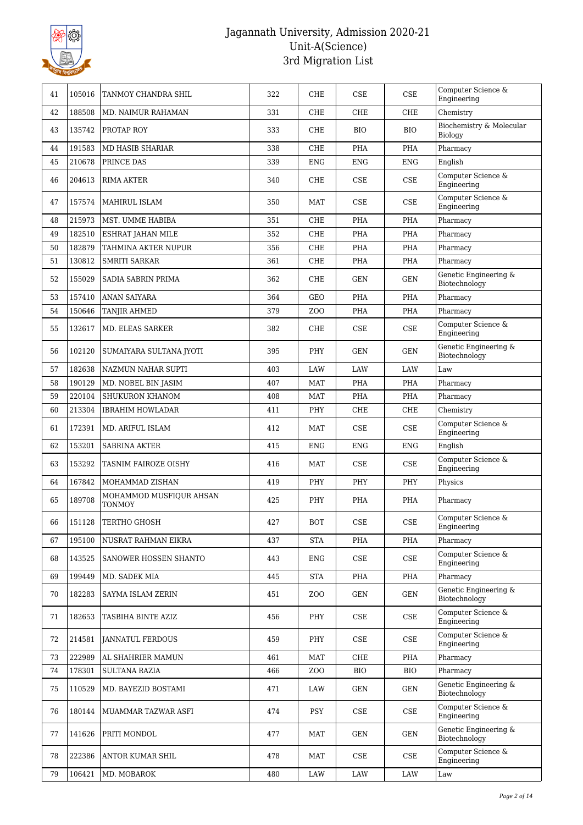

| 41 | 105016 | TANMOY CHANDRA SHIL                      | 322 | CHE             | <b>CSE</b>                  | CSE                         | Computer Science &<br>Engineering      |
|----|--------|------------------------------------------|-----|-----------------|-----------------------------|-----------------------------|----------------------------------------|
| 42 | 188508 | <b>MD. NAIMUR RAHAMAN</b>                | 331 | <b>CHE</b>      | CHE                         | <b>CHE</b>                  | Chemistry                              |
| 43 | 135742 | PROTAP ROY                               | 333 | <b>CHE</b>      | <b>BIO</b>                  | <b>BIO</b>                  | Biochemistry & Molecular<br>Biology    |
| 44 | 191583 | <b>MD HASIB SHARIAR</b>                  | 338 | <b>CHE</b>      | <b>PHA</b>                  | PHA                         | Pharmacy                               |
| 45 | 210678 | PRINCE DAS                               | 339 | <b>ENG</b>      | <b>ENG</b>                  | <b>ENG</b>                  | English                                |
| 46 | 204613 | RIMA AKTER                               | 340 | CHE             | <b>CSE</b>                  | CSE                         | Computer Science &<br>Engineering      |
| 47 | 157574 | <b>MAHIRUL ISLAM</b>                     | 350 | <b>MAT</b>      | <b>CSE</b>                  | <b>CSE</b>                  | Computer Science &<br>Engineering      |
| 48 | 215973 | MST. UMME HABIBA                         | 351 | <b>CHE</b>      | <b>PHA</b>                  | PHA                         | Pharmacy                               |
| 49 | 182510 | ESHRAT JAHAN MILE                        | 352 | CHE             | <b>PHA</b>                  | PHA                         | Pharmacy                               |
| 50 | 182879 | TAHMINA AKTER NUPUR                      | 356 | CHE             | <b>PHA</b>                  | PHA                         | Pharmacy                               |
| 51 | 130812 | <b>SMRITI SARKAR</b>                     | 361 | CHE             | <b>PHA</b>                  | <b>PHA</b>                  | Pharmacy                               |
| 52 | 155029 | SADIA SABRIN PRIMA                       | 362 | CHE             | <b>GEN</b>                  | <b>GEN</b>                  | Genetic Engineering &<br>Biotechnology |
| 53 | 157410 | ANAN SAIYARA                             | 364 | GEO             | <b>PHA</b>                  | PHA                         | Pharmacy                               |
| 54 | 150646 | <b>TANJIR AHMED</b>                      | 379 | ZO <sub>O</sub> | <b>PHA</b>                  | PHA                         | Pharmacy                               |
| 55 | 132617 | MD. ELEAS SARKER                         | 382 | CHE             | <b>CSE</b>                  | <b>CSE</b>                  | Computer Science &<br>Engineering      |
| 56 | 102120 | SUMAIYARA SULTANA JYOTI                  | 395 | PHY             | <b>GEN</b>                  | <b>GEN</b>                  | Genetic Engineering &<br>Biotechnology |
| 57 | 182638 | NAZMUN NAHAR SUPTI                       | 403 | LAW             | LAW                         | LAW                         | Law                                    |
| 58 | 190129 | MD. NOBEL BIN JASIM                      | 407 | <b>MAT</b>      | <b>PHA</b>                  | PHA                         | Pharmacy                               |
| 59 | 220104 | SHUKURON KHANOM                          | 408 | <b>MAT</b>      | <b>PHA</b>                  | PHA                         | Pharmacy                               |
| 60 | 213304 | <b>IBRAHIM HOWLADAR</b>                  | 411 | PHY             | <b>CHE</b>                  | CHE                         | Chemistry                              |
| 61 | 172391 | MD. ARIFUL ISLAM                         | 412 | <b>MAT</b>      | <b>CSE</b>                  | <b>CSE</b>                  | Computer Science &<br>Engineering      |
| 62 | 153201 | <b>SABRINA AKTER</b>                     | 415 | <b>ENG</b>      | <b>ENG</b>                  | <b>ENG</b>                  | English                                |
| 63 | 153292 | TASNIM FAIROZE OISHY                     | 416 | MAT             | <b>CSE</b>                  | <b>CSE</b>                  | Computer Science &<br>Engineering      |
| 64 | 167842 | MOHAMMAD ZISHAN                          | 419 | PHY             | PHY                         | PHY                         | Physics                                |
| 65 | 189708 | MOHAMMOD MUSFIQUR AHSAN<br><b>TONMOY</b> | 425 | PHY             | PHA                         | PHA                         | Pharmacy                               |
| 66 | 151128 | TERTHO GHOSH                             | 427 | BOT             | $\ensuremath{\mathsf{CSE}}$ | $\ensuremath{\mathsf{CSE}}$ | Computer Science &<br>Engineering      |
| 67 | 195100 | NUSRAT RAHMAN EIKRA                      | 437 | <b>STA</b>      | PHA                         | PHA                         | Pharmacy                               |
| 68 | 143525 | SANOWER HOSSEN SHANTO                    | 443 | ENG             | CSE                         | CSE                         | Computer Science &<br>Engineering      |
| 69 | 199449 | MD. SADEK MIA                            | 445 | STA             | PHA                         | PHA                         | Pharmacy                               |
| 70 | 182283 | SAYMA ISLAM ZERIN                        | 451 | ZOO             | GEN                         | GEN                         | Genetic Engineering &<br>Biotechnology |
| 71 | 182653 | TASBIHA BINTE AZIZ                       | 456 | PHY             | CSE                         | CSE                         | Computer Science &<br>Engineering      |
| 72 | 214581 | <b>JANNATUL FERDOUS</b>                  | 459 | PHY             | CSE                         | CSE                         | Computer Science &<br>Engineering      |
| 73 | 222989 | AL SHAHRIER MAMUN                        | 461 | MAT             | <b>CHE</b>                  | PHA                         | Pharmacy                               |
| 74 | 178301 | <b>SULTANA RAZIA</b>                     | 466 | ZOO             | <b>BIO</b>                  | <b>BIO</b>                  | Pharmacy                               |
| 75 | 110529 | MD. BAYEZID BOSTAMI                      | 471 | LAW             | GEN                         | GEN                         | Genetic Engineering &<br>Biotechnology |
| 76 | 180144 | MUAMMAR TAZWAR ASFI                      | 474 | <b>PSY</b>      | CSE                         | CSE                         | Computer Science &<br>Engineering      |
| 77 | 141626 | PRITI MONDOL                             | 477 | MAT             | GEN                         | GEN                         | Genetic Engineering &<br>Biotechnology |
| 78 | 222386 | ANTOR KUMAR SHIL                         | 478 | MAT             | $\ensuremath{\mathsf{CSE}}$ | CSE                         | Computer Science &<br>Engineering      |
| 79 | 106421 | MD. MOBAROK                              | 480 | LAW             | LAW                         | LAW                         | Law                                    |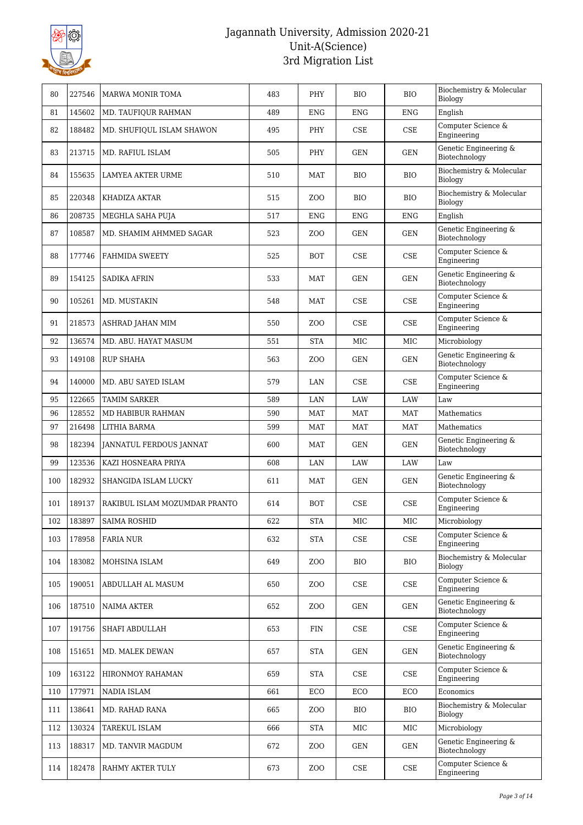

| 80  | 227546 | <b>MARWA MONIR TOMA</b>       | 483 | PHY             | <b>BIO</b> | <b>BIO</b>                  | Biochemistry & Molecular<br>Biology    |
|-----|--------|-------------------------------|-----|-----------------|------------|-----------------------------|----------------------------------------|
| 81  | 145602 | MD. TAUFIQUR RAHMAN           | 489 | <b>ENG</b>      | <b>ENG</b> | <b>ENG</b>                  | English                                |
| 82  | 188482 | MD. SHUFIQUL ISLAM SHAWON     | 495 | PHY             | <b>CSE</b> | <b>CSE</b>                  | Computer Science &<br>Engineering      |
| 83  | 213715 | MD. RAFIUL ISLAM              | 505 | PHY             | <b>GEN</b> | <b>GEN</b>                  | Genetic Engineering &<br>Biotechnology |
| 84  | 155635 | LAMYEA AKTER URME             | 510 | MAT             | <b>BIO</b> | <b>BIO</b>                  | Biochemistry & Molecular<br>Biology    |
| 85  | 220348 | KHADIZA AKTAR                 | 515 | ZOO             | <b>BIO</b> | <b>BIO</b>                  | Biochemistry & Molecular<br>Biology    |
| 86  | 208735 | MEGHLA SAHA PUJA              | 517 | <b>ENG</b>      | <b>ENG</b> | <b>ENG</b>                  | English                                |
| 87  | 108587 | MD. SHAMIM AHMMED SAGAR       | 523 | ZO <sub>O</sub> | <b>GEN</b> | <b>GEN</b>                  | Genetic Engineering &<br>Biotechnology |
| 88  | 177746 | <b>FAHMIDA SWEETY</b>         | 525 | <b>BOT</b>      | CSE        | <b>CSE</b>                  | Computer Science &<br>Engineering      |
| 89  | 154125 | <b>SADIKA AFRIN</b>           | 533 | MAT             | <b>GEN</b> | <b>GEN</b>                  | Genetic Engineering &<br>Biotechnology |
| 90  | 105261 | MD. MUSTAKIN                  | 548 | MAT             | CSE        | $\ensuremath{\mathsf{CSE}}$ | Computer Science &<br>Engineering      |
| 91  | 218573 | ASHRAD JAHAN MIM              | 550 | ZOO             | CSE        | CSE                         | Computer Science &<br>Engineering      |
| 92  | 136574 | MD. ABU. HAYAT MASUM          | 551 | <b>STA</b>      | <b>MIC</b> | <b>MIC</b>                  | Microbiology                           |
| 93  | 149108 | <b>RUP SHAHA</b>              | 563 | ZOO             | <b>GEN</b> | <b>GEN</b>                  | Genetic Engineering &<br>Biotechnology |
| 94  | 140000 | MD. ABU SAYED ISLAM           | 579 | LAN             | CSE        | <b>CSE</b>                  | Computer Science &<br>Engineering      |
| 95  | 122665 | <b>TAMIM SARKER</b>           | 589 | LAN             | LAW        | LAW                         | Law                                    |
| 96  | 128552 | MD HABIBUR RAHMAN             | 590 | <b>MAT</b>      | <b>MAT</b> | <b>MAT</b>                  | Mathematics                            |
| 97  | 216498 | LITHIA BARMA                  | 599 | <b>MAT</b>      | <b>MAT</b> | <b>MAT</b>                  | Mathematics                            |
| 98  | 182394 | JANNATUL FERDOUS JANNAT       | 600 | MAT             | GEN        | <b>GEN</b>                  | Genetic Engineering &<br>Biotechnology |
| 99  | 123536 | KAZI HOSNEARA PRIYA           | 608 | LAN             | LAW        | LAW                         | Law                                    |
| 100 | 182932 | SHANGIDA ISLAM LUCKY          | 611 | <b>MAT</b>      | <b>GEN</b> | GEN                         | Genetic Engineering &<br>Biotechnology |
| 101 | 189137 | RAKIBUL ISLAM MOZUMDAR PRANTO | 614 | <b>BOT</b>      | CSE        | <b>CSE</b>                  | Computer Science &<br>Engineering      |
| 102 | 183897 | SAIMA ROSHID                  | 622 | <b>STA</b>      | $\rm MIC$  | MIC                         | Microbiology                           |
| 103 | 178958 | FARIA NUR                     | 632 | <b>STA</b>      | CSE        | CSE                         | Computer Science &<br>Engineering      |
| 104 | 183082 | MOHSINA ISLAM                 | 649 | ZOO             | <b>BIO</b> | <b>BIO</b>                  | Biochemistry & Molecular<br>Biology    |
| 105 | 190051 | ABDULLAH AL MASUM             | 650 | ZO <sub>O</sub> | CSE        | CSE                         | Computer Science &<br>Engineering      |
| 106 | 187510 | <b>NAIMA AKTER</b>            | 652 | ZO <sub>O</sub> | GEN        | GEN                         | Genetic Engineering &<br>Biotechnology |
| 107 | 191756 | SHAFI ABDULLAH                | 653 | FIN             | CSE        | CSE                         | Computer Science &<br>Engineering      |
| 108 | 151651 | MD. MALEK DEWAN               | 657 | <b>STA</b>      | GEN        | GEN                         | Genetic Engineering &<br>Biotechnology |
| 109 | 163122 | HIRONMOY RAHAMAN              | 659 | <b>STA</b>      | CSE        | CSE                         | Computer Science &<br>Engineering      |
| 110 | 177971 | NADIA ISLAM                   | 661 | ECO             | ECO        | ECO                         | Economics                              |
| 111 | 138641 | MD. RAHAD RANA                | 665 | ZOO             | <b>BIO</b> | <b>BIO</b>                  | Biochemistry & Molecular<br>Biology    |
| 112 | 130324 | TAREKUL ISLAM                 | 666 | <b>STA</b>      | MIC        | MIC                         | Microbiology                           |
| 113 | 188317 | MD. TANVIR MAGDUM             | 672 | ZOO             | GEN        | GEN                         | Genetic Engineering &<br>Biotechnology |
| 114 | 182478 | RAHMY AKTER TULY              | 673 | ZO <sub>O</sub> | CSE        | CSE                         | Computer Science &<br>Engineering      |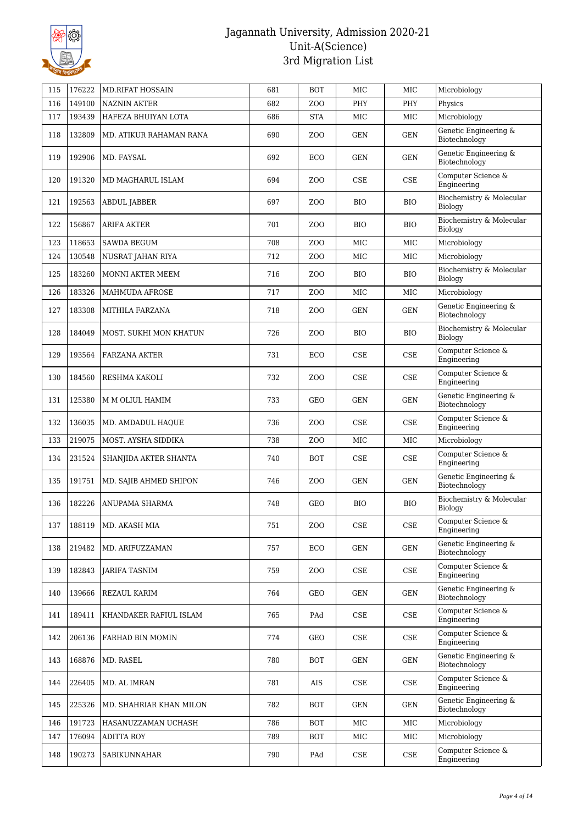

| 115 | 176222 | <b>MD.RIFAT HOSSAIN</b> | 681 | <b>BOT</b>      | <b>MIC</b> | MIC        | Microbiology                           |
|-----|--------|-------------------------|-----|-----------------|------------|------------|----------------------------------------|
| 116 | 149100 | <b>NAZNIN AKTER</b>     | 682 | ZO <sub>O</sub> | <b>PHY</b> | PHY        | Physics                                |
| 117 | 193439 | HAFEZA BHUIYAN LOTA     | 686 | <b>STA</b>      | MIC        | <b>MIC</b> | Microbiology                           |
| 118 | 132809 | MD. ATIKUR RAHAMAN RANA | 690 | ZOO             | <b>GEN</b> | GEN        | Genetic Engineering &<br>Biotechnology |
| 119 | 192906 | MD. FAYSAL              | 692 | ECO             | <b>GEN</b> | GEN        | Genetic Engineering &<br>Biotechnology |
| 120 | 191320 | MD MAGHARUL ISLAM       | 694 | ZO <sub>O</sub> | CSE        | CSE        | Computer Science &<br>Engineering      |
| 121 | 192563 | <b>ABDUL JABBER</b>     | 697 | ZOO             | <b>BIO</b> | <b>BIO</b> | Biochemistry & Molecular<br>Biology    |
| 122 | 156867 | <b>ARIFA AKTER</b>      | 701 | ZOO             | <b>BIO</b> | <b>BIO</b> | Biochemistry & Molecular<br>Biology    |
| 123 | 118653 | <b>SAWDA BEGUM</b>      | 708 | ZO <sub>O</sub> | <b>MIC</b> | MIC        | Microbiology                           |
| 124 | 130548 | NUSRAT JAHAN RIYA       | 712 | ZOO             | MIC        | MIC        | Microbiology                           |
| 125 | 183260 | MONNI AKTER MEEM        | 716 | ZOO             | <b>BIO</b> | <b>BIO</b> | Biochemistry & Molecular<br>Biology    |
| 126 | 183326 | <b>MAHMUDA AFROSE</b>   | 717 | ZO <sub>O</sub> | <b>MIC</b> | <b>MIC</b> | Microbiology                           |
| 127 | 183308 | MITHILA FARZANA         | 718 | ZOO             | <b>GEN</b> | <b>GEN</b> | Genetic Engineering &<br>Biotechnology |
| 128 | 184049 | MOST. SUKHI MON KHATUN  | 726 | ZOO             | <b>BIO</b> | <b>BIO</b> | Biochemistry & Molecular<br>Biology    |
| 129 | 193564 | FARZANA AKTER           | 731 | ECO             | CSE        | CSE        | Computer Science &<br>Engineering      |
| 130 | 184560 | RESHMA KAKOLI           | 732 | ZOO             | CSE        | CSE        | Computer Science &<br>Engineering      |
| 131 | 125380 | M M OLIUL HAMIM         | 733 | GEO             | <b>GEN</b> | GEN        | Genetic Engineering &<br>Biotechnology |
| 132 | 136035 | MD. AMDADUL HAQUE       | 736 | ZOO             | <b>CSE</b> | <b>CSE</b> | Computer Science &<br>Engineering      |
| 133 | 219075 | MOST. AYSHA SIDDIKA     | 738 | ZOO             | MIC        | MIC        | Microbiology                           |
| 134 | 231524 | SHANJIDA AKTER SHANTA   | 740 | <b>BOT</b>      | <b>CSE</b> | CSE        | Computer Science &<br>Engineering      |
| 135 | 191751 | MD. SAJIB AHMED SHIPON  | 746 | ZOO             | <b>GEN</b> | <b>GEN</b> | Genetic Engineering &<br>Biotechnology |
| 136 | 182226 | ANUPAMA SHARMA          | 748 | GEO             | <b>BIO</b> | <b>BIO</b> | Biochemistry & Molecular<br>Biology    |
| 137 | 188119 | MD. AKASH MIA           | 751 | ZOO             | CSE        | CSE        | Computer Science &<br>Engineering      |
| 138 | 219482 | MD. ARIFUZZAMAN         | 757 | ECO             | GEN        | GEN        | Genetic Engineering &<br>Biotechnology |
| 139 | 182843 | <b>JARIFA TASNIM</b>    | 759 | ZOO             | CSE        | CSE        | Computer Science &<br>Engineering      |
| 140 | 139666 | REZAUL KARIM            | 764 | GEO             | GEN        | GEN        | Genetic Engineering &<br>Biotechnology |
| 141 | 189411 | KHANDAKER RAFIUL ISLAM  | 765 | PAd             | CSE        | CSE        | Computer Science &<br>Engineering      |
| 142 | 206136 | FARHAD BIN MOMIN        | 774 | GEO             | CSE        | CSE        | Computer Science &<br>Engineering      |
| 143 | 168876 | MD. RASEL               | 780 | <b>BOT</b>      | <b>GEN</b> | <b>GEN</b> | Genetic Engineering &<br>Biotechnology |
| 144 | 226405 | MD. AL IMRAN            | 781 | AIS             | CSE        | CSE        | Computer Science &<br>Engineering      |
| 145 | 225326 | MD. SHAHRIAR KHAN MILON | 782 | BOT             | GEN        | GEN        | Genetic Engineering &<br>Biotechnology |
| 146 | 191723 | HASANUZZAMAN UCHASH     | 786 | BOT             | MIC        | MIC        | Microbiology                           |
| 147 | 176094 | <b>ADITTA ROY</b>       | 789 | BOT             | MIC        | MIC        | Microbiology                           |
| 148 | 190273 | SABIKUNNAHAR            | 790 | PAd             | CSE        | CSE        | Computer Science &<br>Engineering      |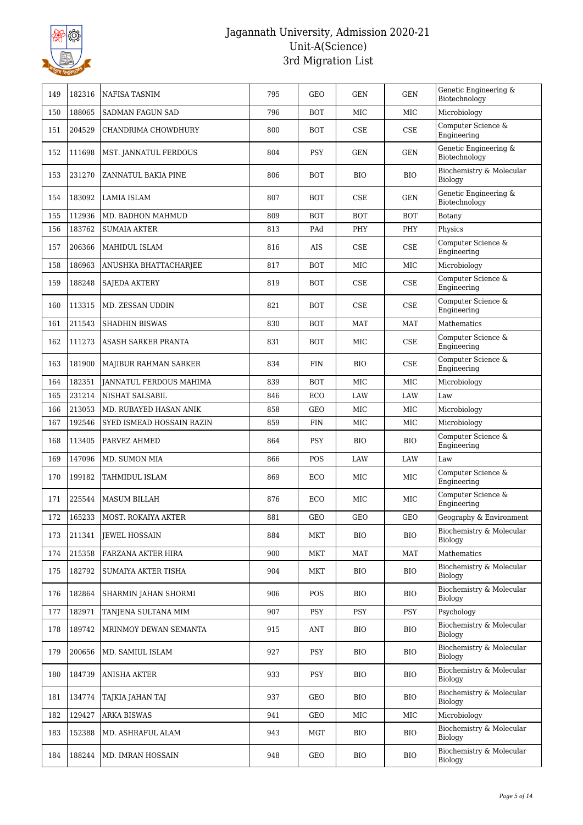

| 149 | 182316 | <b>NAFISA TASNIM</b>           | 795 | <b>GEO</b> | <b>GEN</b> | <b>GEN</b> | Genetic Engineering &<br>Biotechnology     |
|-----|--------|--------------------------------|-----|------------|------------|------------|--------------------------------------------|
| 150 | 188065 | SADMAN FAGUN SAD               | 796 | <b>BOT</b> | <b>MIC</b> | <b>MIC</b> | Microbiology                               |
| 151 | 204529 | CHANDRIMA CHOWDHURY            | 800 | <b>BOT</b> | <b>CSE</b> | CSE        | Computer Science &<br>Engineering          |
| 152 | 111698 | MST. JANNATUL FERDOUS          | 804 | PSY        | <b>GEN</b> | GEN        | Genetic Engineering &<br>Biotechnology     |
| 153 | 231270 | ZANNATUL BAKIA PINE            | 806 | <b>BOT</b> | <b>BIO</b> | <b>BIO</b> | Biochemistry & Molecular<br>Biology        |
| 154 | 183092 | LAMIA ISLAM                    | 807 | <b>BOT</b> | <b>CSE</b> | <b>GEN</b> | Genetic Engineering &<br>Biotechnology     |
| 155 | 112936 | MD. BADHON MAHMUD              | 809 | <b>BOT</b> | <b>BOT</b> | <b>BOT</b> | Botany                                     |
| 156 | 183762 | <b>SUMAIA AKTER</b>            | 813 | PAd        | PHY        | PHY        | Physics                                    |
| 157 | 206366 | MAHIDUL ISLAM                  | 816 | <b>AIS</b> | <b>CSE</b> | <b>CSE</b> | Computer Science &<br>Engineering          |
| 158 | 186963 | ANUSHKA BHATTACHARJEE          | 817 | <b>BOT</b> | MIC        | MIC        | Microbiology                               |
| 159 | 188248 | <b>SAJEDA AKTERY</b>           | 819 | <b>BOT</b> | <b>CSE</b> | <b>CSE</b> | Computer Science $\&$<br>Engineering       |
| 160 | 113315 | MD. ZESSAN UDDIN               | 821 | <b>BOT</b> | <b>CSE</b> | <b>CSE</b> | Computer Science &<br>Engineering          |
| 161 | 211543 | <b>SHADHIN BISWAS</b>          | 830 | <b>BOT</b> | <b>MAT</b> | <b>MAT</b> | <b>Mathematics</b>                         |
| 162 | 111273 | ASASH SARKER PRANTA            | 831 | <b>BOT</b> | MIC        | <b>CSE</b> | Computer Science &<br>Engineering          |
| 163 | 181900 | MAJIBUR RAHMAN SARKER          | 834 | <b>FIN</b> | <b>BIO</b> | CSE        | Computer Science &<br>Engineering          |
| 164 | 182351 | <b>JANNATUL FERDOUS MAHIMA</b> | 839 | <b>BOT</b> | <b>MIC</b> | <b>MIC</b> | Microbiology                               |
| 165 | 231214 | <b>NISHAT SALSABIL</b>         | 846 | ECO        | LAW        | LAW        | Law                                        |
| 166 | 213053 | MD. RUBAYED HASAN ANIK         | 858 | <b>GEO</b> | MIC        | MIC        | Microbiology                               |
| 167 | 192546 | SYED ISMEAD HOSSAIN RAZIN      | 859 | <b>FIN</b> | MIC        | MIC        | Microbiology                               |
| 168 | 113405 | PARVEZ AHMED                   | 864 | <b>PSY</b> | <b>BIO</b> | <b>BIO</b> | Computer Science &<br>Engineering          |
| 169 | 147096 | MD. SUMON MIA                  | 866 | POS        | LAW        | LAW        | Law                                        |
| 170 | 199182 | TAHMIDUL ISLAM                 | 869 | ECO        | MIC        | MIC        | Computer Science &<br>Engineering          |
| 171 | 225544 | <b>MASUM BILLAH</b>            | 876 | ECO        | MIC        | MIC        | Computer Science &<br>Engineering          |
| 172 | 165233 | <b>MOST. ROKAIYA AKTER</b>     | 881 | <b>GEO</b> | <b>GEO</b> | <b>GEO</b> | Geography & Environment                    |
| 173 | 211341 | <b>JEWEL HOSSAIN</b>           | 884 | MKT        | <b>BIO</b> | <b>BIO</b> | Biochemistry & Molecular<br><b>Biology</b> |
| 174 | 215358 | FARZANA AKTER HIRA             | 900 | MKT        | <b>MAT</b> | <b>MAT</b> | Mathematics                                |
| 175 | 182792 | SUMAIYA AKTER TISHA            | 904 | MKT        | <b>BIO</b> | <b>BIO</b> | Biochemistry & Molecular<br><b>Biology</b> |
| 176 | 182864 | SHARMIN JAHAN SHORMI           | 906 | POS        | <b>BIO</b> | <b>BIO</b> | Biochemistry & Molecular<br>Biology        |
| 177 | 182971 | TANJENA SULTANA MIM            | 907 | <b>PSY</b> | PSY        | <b>PSY</b> | Psychology                                 |
| 178 | 189742 | MRINMOY DEWAN SEMANTA          | 915 | ANT        | <b>BIO</b> | <b>BIO</b> | Biochemistry & Molecular<br><b>Biology</b> |
| 179 | 200656 | MD. SAMIUL ISLAM               | 927 | <b>PSY</b> | <b>BIO</b> | <b>BIO</b> | Biochemistry & Molecular<br>Biology        |
| 180 | 184739 | <b>ANISHA AKTER</b>            | 933 | <b>PSY</b> | <b>BIO</b> | <b>BIO</b> | Biochemistry & Molecular<br>Biology        |
| 181 | 134774 | TAJKIA JAHAN TAJ               | 937 | GEO        | <b>BIO</b> | <b>BIO</b> | Biochemistry & Molecular<br>Biology        |
| 182 | 129427 | <b>ARKA BISWAS</b>             | 941 | GEO        | MIC        | MIC        | Microbiology                               |
| 183 | 152388 | MD. ASHRAFUL ALAM              | 943 | MGT        | <b>BIO</b> | <b>BIO</b> | Biochemistry & Molecular<br>Biology        |
| 184 | 188244 | MD. IMRAN HOSSAIN              | 948 | GEO        | <b>BIO</b> | <b>BIO</b> | Biochemistry & Molecular<br>Biology        |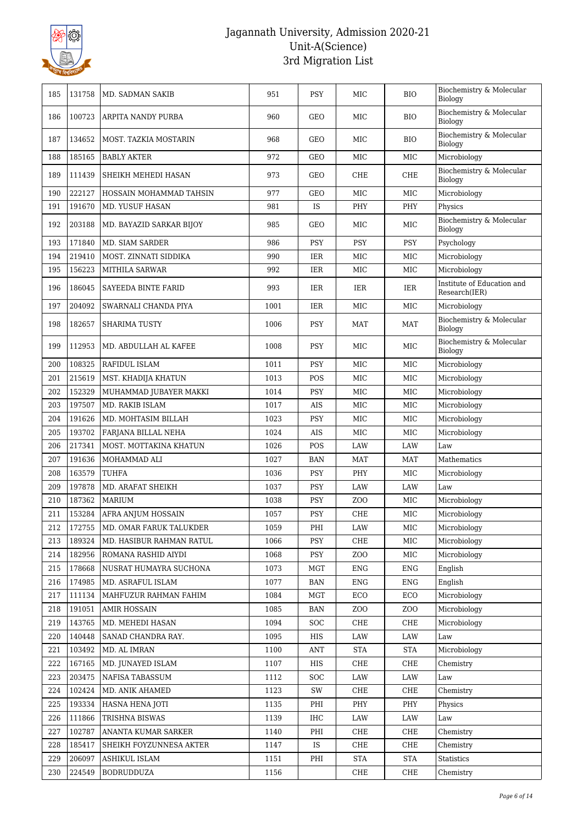

| 185 | 131758 | MD. SADMAN SAKIB          | 951  | <b>PSY</b> | MIC             | <b>BIO</b>   | Biochemistry & Molecular<br>Biology         |
|-----|--------|---------------------------|------|------------|-----------------|--------------|---------------------------------------------|
| 186 | 100723 | ARPITA NANDY PURBA        | 960  | GEO        | MIC             | <b>BIO</b>   | Biochemistry & Molecular<br>Biology         |
| 187 | 134652 | MOST. TAZKIA MOSTARIN     | 968  | GEO        | MIC             | <b>BIO</b>   | Biochemistry & Molecular<br>Biology         |
| 188 | 185165 | <b>BABLY AKTER</b>        | 972  | <b>GEO</b> | <b>MIC</b>      | MIC          | Microbiology                                |
| 189 | 111439 | SHEIKH MEHEDI HASAN       | 973  | GEO        | <b>CHE</b>      | CHE          | Biochemistry & Molecular<br>Biology         |
| 190 | 222127 | HOSSAIN MOHAMMAD TAHSIN   | 977  | <b>GEO</b> | MIC             | MIC          | Microbiology                                |
| 191 | 191670 | MD. YUSUF HASAN           | 981  | IS         | PHY             | PHY          | Physics                                     |
| 192 | 203188 | MD. BAYAZID SARKAR BIJOY  | 985  | <b>GEO</b> | MIC             | MIC          | Biochemistry & Molecular<br><b>Biology</b>  |
| 193 | 171840 | MD. SIAM SARDER           | 986  | <b>PSY</b> | <b>PSY</b>      | <b>PSY</b>   | Psychology                                  |
| 194 | 219410 | MOST. ZINNATI SIDDIKA     | 990  | IER        | MIC             | MIC          | Microbiology                                |
| 195 | 156223 | MITHILA SARWAR            | 992  | IER        | MIC             | MIC          | Microbiology                                |
| 196 | 186045 | SAYEEDA BINTE FARID       | 993  | IER        | IER             | IER          | Institute of Education and<br>Research(IER) |
| 197 | 204092 | SWARNALI CHANDA PIYA      | 1001 | IER        | MIC             | MIC          | Microbiology                                |
| 198 | 182657 | <b>SHARIMA TUSTY</b>      | 1006 | <b>PSY</b> | <b>MAT</b>      | MAT          | Biochemistry & Molecular<br>Biology         |
| 199 | 112953 | MD. ABDULLAH AL KAFEE     | 1008 | <b>PSY</b> | MIC             | MIC          | Biochemistry & Molecular<br>Biology         |
| 200 | 108325 | RAFIDUL ISLAM             | 1011 | PSY        | MIC             | MIC          | Microbiology                                |
| 201 | 215619 | MST. KHADIJA KHATUN       | 1013 | POS        | MIC             | MIC          | Microbiology                                |
| 202 | 152329 | MUHAMMAD JUBAYER MAKKI    | 1014 | <b>PSY</b> | MIC             | MIC          | Microbiology                                |
| 203 | 197507 | MD. RAKIB ISLAM           | 1017 | <b>AIS</b> | MIC             | MIC          | Microbiology                                |
| 204 | 191626 | MD. MOHTASIM BILLAH       | 1023 | PSY        | MIC             | $_{\rm MIC}$ | Microbiology                                |
| 205 | 193702 | FARJANA BILLAL NEHA       | 1024 | AIS        | MIC             | MIC          | Microbiology                                |
| 206 | 217341 | MOST. MOTTAKINA KHATUN    | 1026 | POS        | LAW             | LAW          | Law                                         |
| 207 | 191636 | MOHAMMAD ALI              | 1027 | <b>BAN</b> | <b>MAT</b>      | <b>MAT</b>   | Mathematics                                 |
| 208 | 163579 | <b>TUHFA</b>              | 1036 | PSY        | PHY             | MIC          | Microbiology                                |
| 209 | 197878 | MD. ARAFAT SHEIKH         | 1037 | PSY        | LAW             | <b>LAW</b>   | Law                                         |
| 210 | 187362 | <b>MARIUM</b>             | 1038 | <b>PSY</b> | ZO <sub>O</sub> | MIC          | Microbiology                                |
| 211 | 153284 | <b>AFRA ANJUM HOSSAIN</b> | 1057 | <b>PSY</b> | <b>CHE</b>      | MIC          | Microbiology                                |
| 212 | 172755 | MD. OMAR FARUK TALUKDER   | 1059 | PHI        | LAW             | $_{\rm MIC}$ | Microbiology                                |
| 213 | 189324 | MD. HASIBUR RAHMAN RATUL  | 1066 | PSY        | CHE             | MIC          | Microbiology                                |
| 214 | 182956 | ROMANA RASHID AIYDI       | 1068 | <b>PSY</b> | ZO <sub>O</sub> | MIC          | Microbiology                                |
| 215 | 178668 | NUSRAT HUMAYRA SUCHONA    | 1073 | <b>MGT</b> | <b>ENG</b>      | <b>ENG</b>   | English                                     |
| 216 | 174985 | MD. ASRAFUL ISLAM         | 1077 | BAN        | <b>ENG</b>      | <b>ENG</b>   | English                                     |
| 217 | 111134 | MAHFUZUR RAHMAN FAHIM     | 1084 | <b>MGT</b> | ECO             | ECO          | Microbiology                                |
| 218 | 191051 | <b>AMIR HOSSAIN</b>       | 1085 | BAN        | ZO <sub>O</sub> | ZOO          | Microbiology                                |
| 219 | 143765 | MD. MEHEDI HASAN          | 1094 | SOC        | CHE             | CHE          | Microbiology                                |
| 220 | 140448 | SANAD CHANDRA RAY.        | 1095 | HIS        | LAW             | LAW          | Law                                         |
| 221 | 103492 | MD. AL IMRAN              | 1100 | ANT        | <b>STA</b>      | <b>STA</b>   | Microbiology                                |
| 222 | 167165 | MD. JUNAYED ISLAM         | 1107 | HIS        | CHE             | CHE          | Chemistry                                   |
| 223 | 203475 | NAFISA TABASSUM           | 1112 | SOC        | LAW             | LAW          | Law                                         |
| 224 | 102424 | MD. ANIK AHAMED           | 1123 | SW         | CHE             | CHE          | Chemistry                                   |
| 225 | 193334 | <b>HASNA HENA JOTI</b>    | 1135 | PHI        | PHY             | PHY          | Physics                                     |
| 226 | 111866 | TRISHNA BISWAS            | 1139 | IHC        | LAW             | LAW          | Law                                         |
| 227 | 102787 | ANANTA KUMAR SARKER       | 1140 | PHI        | CHE             | CHE          | Chemistry                                   |
| 228 | 185417 | SHEIKH FOYZUNNESA AKTER   | 1147 | IS         | CHE             | CHE          | Chemistry                                   |
| 229 | 206097 | ASHIKUL ISLAM             | 1151 | PHI        | <b>STA</b>      | <b>STA</b>   | <b>Statistics</b>                           |
| 230 | 224549 | <b>BODRUDDUZA</b>         | 1156 |            | CHE             | CHE          | Chemistry                                   |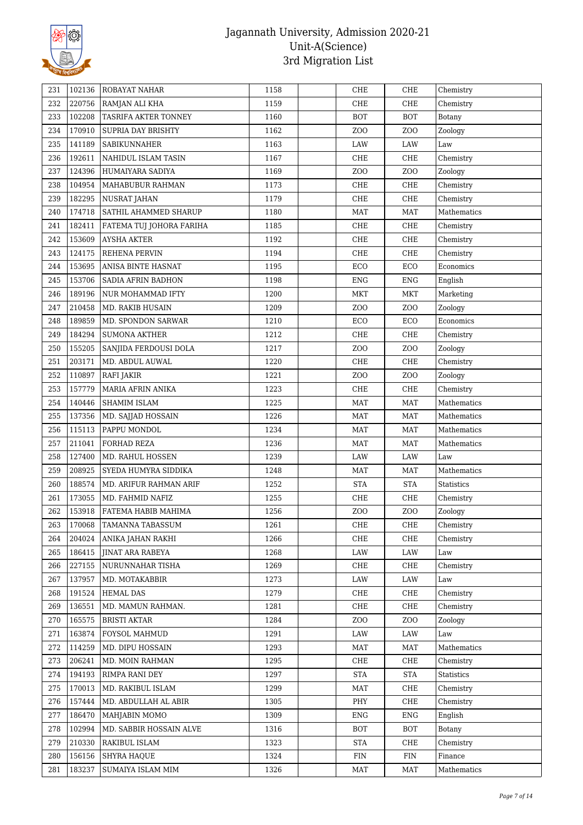

| 231        | 102136           | <b>ROBAYAT NAHAR</b>             | 1158         | CHE                       | CHE               | Chemistry              |
|------------|------------------|----------------------------------|--------------|---------------------------|-------------------|------------------------|
| 232        | 220756           | RAMJAN ALI KHA                   | 1159         | CHE                       | ${\rm CHE}$       | Chemistry              |
| 233        | 102208           | TASRIFA AKTER TONNEY             | 1160         | <b>BOT</b>                | <b>BOT</b>        | Botany                 |
| 234        | 170910           | SUPRIA DAY BRISHTY               | 1162         | ZOO                       | Z <sub>O</sub> O  | Zoology                |
| 235        | 141189           | <b>SABIKUNNAHER</b>              | 1163         | LAW                       | LAW               | Law                    |
| 236        | 192611           | NAHIDUL ISLAM TASIN              | 1167         | CHE                       | CHE               | Chemistry              |
| 237        | 124396           | HUMAIYARA SADIYA                 | 1169         | ZO <sub>O</sub>           | ZOO               | Zoology                |
| 238        | 104954           | MAHABUBUR RAHMAN                 | 1173         | CHE                       | CHE               | Chemistry              |
| 239        | 182295           | <b>NUSRAT JAHAN</b>              | 1179         | CHE                       | ${\rm CHE}$       | Chemistry              |
| 240        | 174718           | SATHIL AHAMMED SHARUP            | 1180         | MAT                       | <b>MAT</b>        | Mathematics            |
| 241        | 182411           | FATEMA TUJ JOHORA FARIHA         | 1185         | CHE                       | CHE               | Chemistry              |
| 242        | 153609           | <b>AYSHA AKTER</b>               | 1192         | CHE                       | ${\rm CHE}$       | Chemistry              |
| 243        | 124175           | REHENA PERVIN                    | 1194         | CHE                       | CHE               | Chemistry              |
| 244        | 153695           | ANISA BINTE HASNAT               | 1195         | ECO                       | ECO               | Economics              |
| 245        | 153706           | <b>SADIA AFRIN BADHON</b>        | 1198         | <b>ENG</b>                | <b>ENG</b>        | English                |
| 246        | 189196           | NUR MOHAMMAD IFTY                | 1200         | <b>MKT</b>                | <b>MKT</b>        | Marketing              |
| 247        | 210458           | MD. RAKIB HUSAIN                 | 1209         | ZOO                       | ZOO               | Zoology                |
| 248        | 189859           | MD. SPONDON SARWAR               | 1210         | ECO                       | ECO               | Economics              |
| 249        | 184294           | <b>SUMONA AKTHER</b>             | 1212         | CHE                       | ${\rm CHE}$       | Chemistry              |
| 250        | 155205           | SANJIDA FERDOUSI DOLA            | 1217         | ZOO                       | ZOO               | Zoology                |
| 251        | 203171           | MD. ABDUL AUWAL                  | 1220         | CHE                       | CHE               | Chemistry              |
| 252        | 110897           | <b>RAFI JAKIR</b>                | 1221         | ZOO                       | ZOO               | Zoology                |
| 253        | 157779           | <b>MARIA AFRIN ANIKA</b>         | 1223         | CHE                       | CHE               | Chemistry              |
| 254        | 140446           | <b>SHAMIM ISLAM</b>              | 1225         | MAT                       | <b>MAT</b>        | Mathematics            |
| 255        | 137356           | MD. SAJJAD HOSSAIN               | 1226         | <b>MAT</b>                | MAT               | Mathematics            |
| 256        | 115113           | PAPPU MONDOL                     | 1234         | <b>MAT</b>                | <b>MAT</b>        | Mathematics            |
| 257        | 211041           | FORHAD REZA                      | 1236         | <b>MAT</b>                | <b>MAT</b>        | Mathematics            |
| 258        | 127400           | MD. RAHUL HOSSEN                 | 1239         | LAW                       | LAW               | Law                    |
| 259        | 208925           | SYEDA HUMYRA SIDDIKA             | 1248         | MAT                       | MAT               | Mathematics            |
|            | 188574           | MD. ARIFUR RAHMAN ARIF           | 1252         | <b>STA</b>                | <b>STA</b>        | <b>Statistics</b>      |
|            |                  |                                  |              |                           |                   |                        |
| 260        |                  |                                  |              |                           |                   |                        |
| 261        | 173055           | MD. FAHMID NAFIZ                 | 1255         | CHE                       | ${\rm CHE}$       | Chemistry              |
| 262        | 153918           | FATEMA HABIB MAHIMA              | 1256         | ZOO                       | ZO <sub>O</sub>   | Zoology                |
| 263        | 170068           | TAMANNA TABASSUM                 | 1261         | CHE                       | CHE               | Chemistry              |
| 264        | 204024           | ANIKA JAHAN RAKHI                | 1266         | CHE                       | ${\rm CHE}$       | Chemistry              |
| 265        | 186415           | <b>JINAT ARA RABEYA</b>          | 1268         | LAW                       | LAW               | Law                    |
| 266        | 227155           | NURUNNAHAR TISHA                 | 1269         | CHE                       | CHE               | Chemistry              |
| 267        | 137957           | MD. MOTAKABBIR                   | 1273         | LAW                       | LAW               | Law                    |
| 268        | 191524           | <b>HEMAL DAS</b>                 | 1279         | CHE                       | CHE               | Chemistry              |
| 269        | 136551           | MD. MAMUN RAHMAN.                | 1281         | CHE                       | CHE               | Chemistry              |
| 270        | 165575           | <b>BRISTI AKTAR</b>              | 1284         | ZOO                       | ZOO               | Zoology                |
| 271        | 163874           | FOYSOL MAHMUD                    | 1291         | LAW                       | LAW               | Law                    |
| 272        | 114259           | MD. DIPU HOSSAIN                 | 1293         | <b>MAT</b>                | <b>MAT</b>        | Mathematics            |
| 273        | 206241           | MD. MOIN RAHMAN                  | 1295         | CHE                       | CHE               | Chemistry              |
| 274        | 194193           | RIMPA RANI DEY                   | 1297         | <b>STA</b>                | <b>STA</b>        | Statistics             |
| 275        | 170013           | MD. RAKIBUL ISLAM                | 1299         | <b>MAT</b>                | CHE               | Chemistry              |
| 276        | 157444           | MD. ABDULLAH AL ABIR             | 1305         | PHY                       | CHE               | Chemistry              |
| 277        | 186470           | MAHJABIN MOMO                    | 1309         | ENG                       | <b>ENG</b>        | English                |
| 278        | 102994           | MD. SABBIR HOSSAIN ALVE          | 1316         | <b>BOT</b>                | <b>BOT</b>        | Botany                 |
| 279        | 210330           | RAKIBUL ISLAM                    | 1323         | <b>STA</b>                | CHE               | Chemistry              |
| 280<br>281 | 156156<br>183237 | SHYRA HAQUE<br>SUMAIYA ISLAM MIM | 1324<br>1326 | ${\rm FIN}$<br><b>MAT</b> | FIN<br><b>MAT</b> | Finance<br>Mathematics |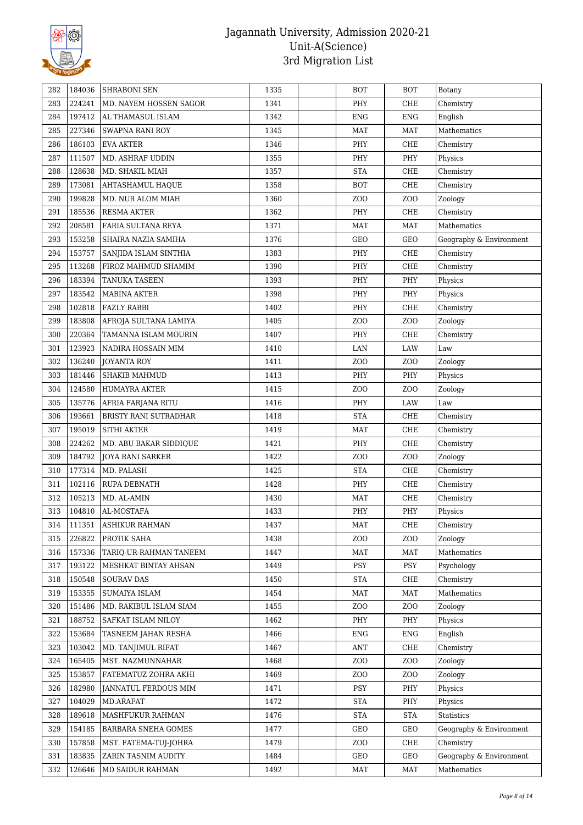

| 282 | 184036 | <b>SHRABONI SEN</b>    | 1335 | <b>BOT</b>      | <b>BOT</b>       | Botany                  |
|-----|--------|------------------------|------|-----------------|------------------|-------------------------|
| 283 | 224241 | MD. NAYEM HOSSEN SAGOR | 1341 | PHY             | CHE              | Chemistry               |
| 284 | 197412 | AL THAMASUL ISLAM      | 1342 | <b>ENG</b>      | <b>ENG</b>       | English                 |
| 285 | 227346 | <b>SWAPNA RANI ROY</b> | 1345 | <b>MAT</b>      | <b>MAT</b>       | Mathematics             |
| 286 | 186103 | <b>EVA AKTER</b>       | 1346 | PHY             | ${\rm CHE}$      | Chemistry               |
| 287 | 111507 | MD. ASHRAF UDDIN       | 1355 | PHY             | PHY              | Physics                 |
| 288 | 128638 | MD. SHAKIL MIAH        | 1357 | <b>STA</b>      | CHE              | Chemistry               |
| 289 | 173081 | AHTASHAMUL HAQUE       | 1358 | <b>BOT</b>      | ${\rm CHE}$      | Chemistry               |
| 290 | 199828 | MD. NUR ALOM MIAH      | 1360 | ZO <sub>O</sub> | Z <sub>O</sub> O | Zoology                 |
| 291 | 185536 | RESMA AKTER            | 1362 | PHY             | CHE              | Chemistry               |
| 292 | 208581 | FARIA SULTANA REYA     | 1371 | MAT             | MAT              | Mathematics             |
| 293 | 153258 | SHAIRA NAZIA SAMIHA    | 1376 | <b>GEO</b>      | GEO              | Geography & Environment |
| 294 | 153757 | SANJIDA ISLAM SINTHIA  | 1383 | PHY             | CHE              | Chemistry               |
| 295 | 113268 | FIROZ MAHMUD SHAMIM    | 1390 | PHY             | ${\rm CHE}$      | Chemistry               |
| 296 | 183394 | TANUKA TASEEN          | 1393 | PHY             | PHY              | Physics                 |
| 297 | 183542 | MABINA AKTER           | 1398 | PHY             | PHY              | Physics                 |
| 298 | 102818 | <b>FAZLY RABBI</b>     | 1402 | PHY             | CHE              | Chemistry               |
| 299 | 183808 | AFROJA SULTANA LAMIYA  | 1405 | ZO <sub>O</sub> | Z <sub>0</sub>   | Zoology                 |
| 300 | 220364 | TAMANNA ISLAM MOURIN   | 1407 | PHY             | CHE              | Chemistry               |
| 301 | 123923 | NADIRA HOSSAIN MIM     | 1410 | LAN             | LAW              | Law                     |
| 302 | 136240 | <b>JOYANTA ROY</b>     | 1411 | ZOO             | ZO <sub>O</sub>  | Zoology                 |
| 303 | 181446 | <b>SHAKIB MAHMUD</b>   | 1413 | PHY             | PHY              | Physics                 |
| 304 | 124580 | HUMAYRA AKTER          | 1415 | ZOO             | ZO <sub>O</sub>  | Zoology                 |
| 305 | 135776 | AFRIA FARJANA RITU     | 1416 | PHY             | LAW              | Law                     |
| 306 | 193661 | BRISTY RANI SUTRADHAR  | 1418 | <b>STA</b>      | CHE              | Chemistry               |
| 307 | 195019 | <b>SITHI AKTER</b>     | 1419 | <b>MAT</b>      | ${\rm CHE}$      | Chemistry               |
| 308 | 224262 | MD. ABU BAKAR SIDDIQUE | 1421 | PHY             | CHE              | Chemistry               |
| 309 | 184792 | JOYA RANI SARKER       | 1422 | ZO <sub>O</sub> | Z <sub>0</sub>   | Zoology                 |
| 310 | 177314 | MD. PALASH             | 1425 | <b>STA</b>      | CHE              | Chemistry               |
| 311 | 102116 | <b>RUPA DEBNATH</b>    | 1428 | PHY             | CHE              | Chemistry               |
| 312 | 105213 | MD. AL-AMIN            | 1430 | <b>MAT</b>      | CHE              | Chemistry               |
| 313 | 104810 | AL-MOSTAFA             | 1433 | PHY             | PHY              | Physics                 |
| 314 | 111351 | <b>ASHIKUR RAHMAN</b>  | 1437 | MAT             | CHE              | Chemistry               |
| 315 | 226822 | PROTIK SAHA            | 1438 | ZOO             | ZO <sub>O</sub>  | Zoology                 |
| 316 | 157336 | TARIQ-UR-RAHMAN TANEEM | 1447 | <b>MAT</b>      | <b>MAT</b>       | Mathematics             |
| 317 | 193122 | MESHKAT BINTAY AHSAN   | 1449 | PSY             | PSY              | Psychology              |
| 318 | 150548 | <b>SOURAV DAS</b>      | 1450 | <b>STA</b>      | CHE              | Chemistry               |
| 319 | 153355 | SUMAIYA ISLAM          | 1454 | <b>MAT</b>      | MAT              | Mathematics             |
| 320 | 151486 | MD. RAKIBUL ISLAM SIAM | 1455 | ZO <sub>O</sub> | ZOO              | Zoology                 |
| 321 | 188752 | SAFKAT ISLAM NILOY     | 1462 | PHY             | PHY              | Physics                 |
| 322 | 153684 | TASNEEM JAHAN RESHA    | 1466 | <b>ENG</b>      | <b>ENG</b>       | English                 |
| 323 | 103042 | MD. TANJIMUL RIFAT     | 1467 | ANT             | CHE              | Chemistry               |
| 324 | 165405 | MST. NAZMUNNAHAR       | 1468 | ZOO             | ZOO              | Zoology                 |
| 325 | 153857 | FATEMATUZ ZOHRA AKHI   | 1469 | ZOO             | ZO <sub>O</sub>  | Zoology                 |
| 326 | 182980 | JANNATUL FERDOUS MIM   | 1471 | PSY             | PHY              | Physics                 |
| 327 | 104029 | MD.ARAFAT              | 1472 | <b>STA</b>      | PHY              | Physics                 |
| 328 | 189618 | MASHFUKUR RAHMAN       | 1476 | <b>STA</b>      | <b>STA</b>       | Statistics              |
| 329 | 154185 | BARBARA SNEHA GOMES    | 1477 | GEO             | GEO              | Geography & Environment |
| 330 | 157858 | MST. FATEMA-TUJ-JOHRA  | 1479 | ZOO             | CHE              | Chemistry               |
| 331 | 183835 | ZARIN TASNIM AUDITY    | 1484 | GEO             | GEO              | Geography & Environment |
| 332 | 126646 | MD SAIDUR RAHMAN       | 1492 | MAT             | MAT              | Mathematics             |
|     |        |                        |      |                 |                  |                         |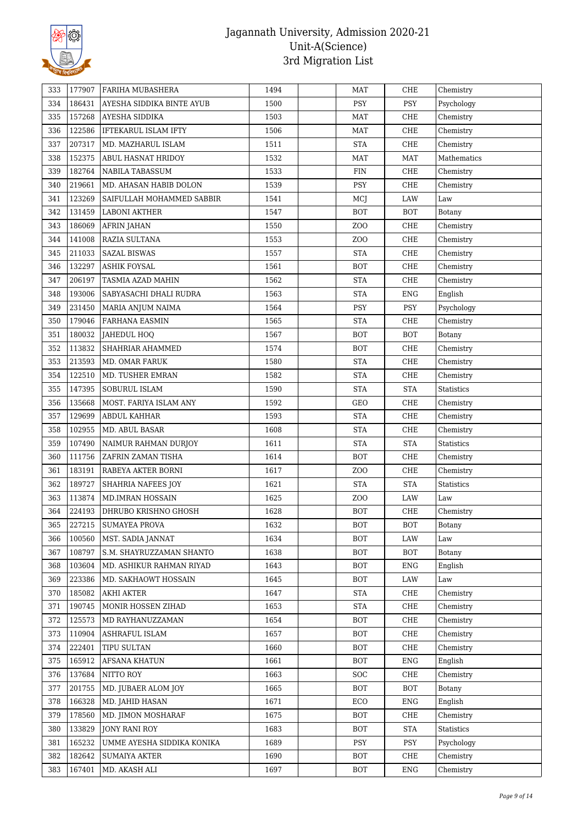

| 333 | 177907 | FARIHA MUBASHERA           | 1494 | MAT              | CHE                  | Chemistry   |
|-----|--------|----------------------------|------|------------------|----------------------|-------------|
| 334 | 186431 | AYESHA SIDDIKA BINTE AYUB  | 1500 | PSY              | PSY                  | Psychology  |
| 335 | 157268 | AYESHA SIDDIKA             | 1503 | MAT              | CHE                  | Chemistry   |
| 336 | 122586 | IFTEKARUL ISLAM IFTY       | 1506 | MAT              | CHE                  | Chemistry   |
| 337 | 207317 | MD. MAZHARUL ISLAM         | 1511 | <b>STA</b>       | CHE                  | Chemistry   |
| 338 | 152375 | ABUL HASNAT HRIDOY         | 1532 | <b>MAT</b>       | <b>MAT</b>           | Mathematics |
| 339 | 182764 | NABILA TABASSUM            | 1533 | FIN              | CHE                  | Chemistry   |
| 340 | 219661 | MD. AHASAN HABIB DOLON     | 1539 | PSY              | CHE                  | Chemistry   |
| 341 | 123269 | SAIFULLAH MOHAMMED SABBIR  | 1541 | MCJ              | LAW                  | Law         |
| 342 | 131459 | <b>LABONI AKTHER</b>       | 1547 | BOT              | <b>BOT</b>           | Botany      |
| 343 | 186069 | <b>AFRIN JAHAN</b>         | 1550 | Z <sub>0</sub>   | CHE                  | Chemistry   |
| 344 | 141008 | RAZIA SULTANA              | 1553 | Z <sub>O</sub> O | CHE                  | Chemistry   |
| 345 | 211033 | <b>SAZAL BISWAS</b>        | 1557 | <b>STA</b>       | CHE                  | Chemistry   |
| 346 | 132297 | <b>ASHIK FOYSAL</b>        | 1561 | <b>BOT</b>       | CHE                  | Chemistry   |
| 347 | 206197 | TASMIA AZAD MAHIN          | 1562 | <b>STA</b>       | CHE                  | Chemistry   |
| 348 | 193006 | SABYASACHI DHALI RUDRA     | 1563 | <b>STA</b>       | <b>ENG</b>           | English     |
| 349 | 231450 | MARIA ANJUM NAIMA          | 1564 | <b>PSY</b>       | PSY                  | Psychology  |
| 350 | 179046 | <b>FARHANA EASMIN</b>      | 1565 | <b>STA</b>       | CHE                  | Chemistry   |
| 351 | 180032 | JAHEDUL HOQ                | 1567 | BOT              | <b>BOT</b>           | Botany      |
| 352 | 113832 | SHAHRIAR AHAMMED           | 1574 | <b>BOT</b>       | CHE                  | Chemistry   |
| 353 | 213593 | MD. OMAR FARUK             | 1580 | <b>STA</b>       | CHE                  | Chemistry   |
| 354 | 122510 | MD. TUSHER EMRAN           | 1582 | <b>STA</b>       | CHE                  | Chemistry   |
| 355 | 147395 | SOBURUL ISLAM              | 1590 | <b>STA</b>       | <b>STA</b>           | Statistics  |
| 356 | 135668 | MOST. FARIYA ISLAM ANY     | 1592 | GEO              | CHE                  | Chemistry   |
| 357 | 129699 | ABDUL KAHHAR               | 1593 | <b>STA</b>       | CHE                  | Chemistry   |
| 358 | 102955 | MD. ABUL BASAR             | 1608 | <b>STA</b>       | CHE                  | Chemistry   |
| 359 | 107490 | NAIMUR RAHMAN DURJOY       | 1611 | <b>STA</b>       | $\operatorname{STA}$ | Statistics  |
| 360 | 111756 | ZAFRIN ZAMAN TISHA         | 1614 | BOT              | CHE                  | Chemistry   |
| 361 | 183191 | RABEYA AKTER BORNI         | 1617 | ZOO              | CHE                  | Chemistry   |
| 362 | 189727 | SHAHRIA NAFEES JOY         | 1621 | <b>STA</b>       | <b>STA</b>           | Statistics  |
| 363 | 113874 | <b>MD.IMRAN HOSSAIN</b>    | 1625 | Z <sub>O</sub> O | LAW                  | Law         |
| 364 | 224193 | DHRUBO KRISHNO GHOSH       | 1628 | BOT              | CHE                  | Chemistry   |
| 365 | 227215 | <b>SUMAYEA PROVA</b>       | 1632 | BOT              | BOT                  | Botany      |
| 366 | 100560 | MST. SADIA JANNAT          | 1634 | BOT              | LAW                  | Law         |
| 367 | 108797 | S.M. SHAYRUZZAMAN SHANTO   | 1638 | <b>BOT</b>       | <b>BOT</b>           | Botany      |
| 368 | 103604 | MD. ASHIKUR RAHMAN RIYAD   | 1643 | <b>BOT</b>       | ENG                  | English     |
| 369 | 223386 | MD. SAKHAOWT HOSSAIN       | 1645 | <b>BOT</b>       | LAW                  | Law         |
| 370 | 185082 | <b>AKHI AKTER</b>          | 1647 | <b>STA</b>       | CHE                  | Chemistry   |
| 371 | 190745 | MONIR HOSSEN ZIHAD         | 1653 | <b>STA</b>       | CHE                  | Chemistry   |
| 372 | 125573 | MD RAYHANUZZAMAN           | 1654 | BOT              | CHE                  | Chemistry   |
| 373 | 110904 | <b>ASHRAFUL ISLAM</b>      | 1657 | <b>BOT</b>       | CHE                  | Chemistry   |
| 374 | 222401 | TIPU SULTAN                | 1660 | BOT              | CHE                  | Chemistry   |
| 375 | 165912 | <b>AFSANA KHATUN</b>       | 1661 | <b>BOT</b>       | ENG                  | English     |
| 376 | 137684 | NITTO ROY                  | 1663 | <b>SOC</b>       | CHE                  | Chemistry   |
| 377 | 201755 | MD. JUBAER ALOM JOY        | 1665 | BOT              | <b>BOT</b>           | Botany      |
| 378 | 166328 | MD. JAHID HASAN            | 1671 | ECO              | ENG                  | English     |
| 379 | 178560 | MD. JIMON MOSHARAF         | 1675 | <b>BOT</b>       | CHE                  | Chemistry   |
| 380 | 133829 | JONY RANI ROY              | 1683 | BOT              | <b>STA</b>           | Statistics  |
| 381 | 165232 | UMME AYESHA SIDDIKA KONIKA | 1689 | <b>PSY</b>       | <b>PSY</b>           | Psychology  |
| 382 | 182642 | SUMAIYA AKTER              | 1690 | <b>BOT</b>       | CHE                  | Chemistry   |
| 383 | 167401 | MD. AKASH ALI              | 1697 | <b>BOT</b>       | ENG                  | Chemistry   |
|     |        |                            |      |                  |                      |             |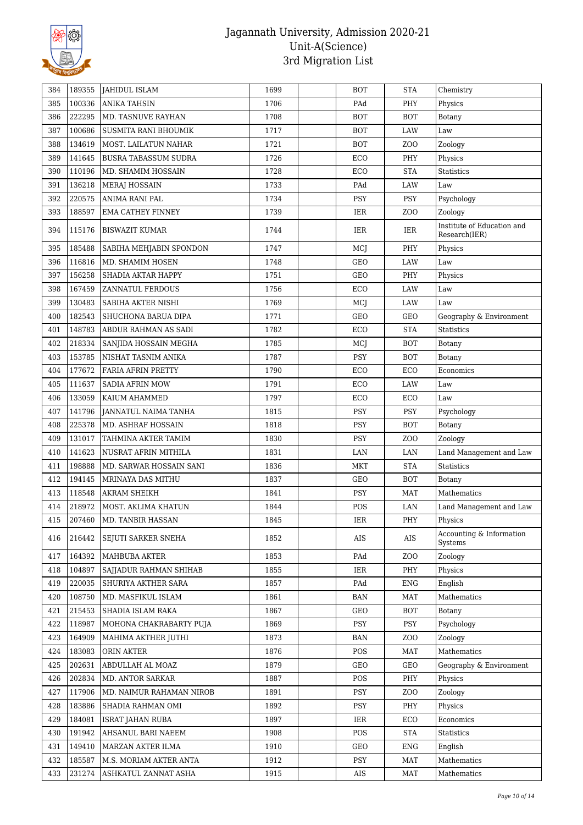

| 384 | 189355 | JAHIDUL ISLAM               | 1699 | <b>BOT</b>   | <b>STA</b>       | Chemistry                                   |
|-----|--------|-----------------------------|------|--------------|------------------|---------------------------------------------|
| 385 | 100336 | <b>ANIKA TAHSIN</b>         | 1706 | PAd          | PHY              | Physics                                     |
| 386 | 222295 | MD. TASNUVE RAYHAN          | 1708 | <b>BOT</b>   | <b>BOT</b>       | Botany                                      |
| 387 | 100686 | SUSMITA RANI BHOUMIK        | 1717 | <b>BOT</b>   | LAW              | Law                                         |
| 388 | 134619 | MOST. LAILATUN NAHAR        | 1721 | <b>BOT</b>   | Z <sub>O</sub> O | Zoology                                     |
| 389 | 141645 | <b>BUSRA TABASSUM SUDRA</b> | 1726 | ECO          | PHY              | Physics                                     |
| 390 | 110196 | MD. SHAMIM HOSSAIN          | 1728 | ECO          | <b>STA</b>       | Statistics                                  |
| 391 | 136218 | <b>MERAJ HOSSAIN</b>        | 1733 | PAd          | LAW              | Law                                         |
| 392 | 220575 | ANIMA RANI PAL              | 1734 | PSY          | <b>PSY</b>       | Psychology                                  |
| 393 | 188597 | <b>EMA CATHEY FINNEY</b>    | 1739 | IER          | Z <sub>0</sub>   | Zoology                                     |
| 394 | 115176 | <b>BISWAZIT KUMAR</b>       | 1744 | IER          | IER              | Institute of Education and<br>Research(IER) |
| 395 | 185488 | SABIHA MEHJABIN SPONDON     | 1747 | MCJ          | PHY              | Physics                                     |
| 396 | 116816 | MD. SHAMIM HOSEN            | 1748 | <b>GEO</b>   | <b>LAW</b>       | Law                                         |
| 397 | 156258 | SHADIA AKTAR HAPPY          | 1751 | GEO          | PHY              | Physics                                     |
| 398 | 167459 | ZANNATUL FERDOUS            | 1756 | ECO          | LAW              | Law                                         |
| 399 | 130483 | SABIHA AKTER NISHI          | 1769 | MCJ          | LAW              | Law                                         |
| 400 | 182543 | SHUCHONA BARUA DIPA         | 1771 | <b>GEO</b>   | GEO              | Geography & Environment                     |
| 401 | 148783 | ABDUR RAHMAN AS SADI        | 1782 | ECO          | <b>STA</b>       | Statistics                                  |
| 402 | 218334 | SANJIDA HOSSAIN MEGHA       | 1785 | MCJ          | <b>BOT</b>       | Botany                                      |
| 403 | 153785 | NISHAT TASNIM ANIKA         | 1787 | PSY          | <b>BOT</b>       | <b>Botany</b>                               |
| 404 | 177672 | FARIA AFRIN PRETTY          | 1790 | ECO          | ECO              | Economics                                   |
| 405 | 111637 | <b>SADIA AFRIN MOW</b>      | 1791 | $_{\rm ECO}$ | LAW              | Law                                         |
| 406 | 133059 | KAIUM AHAMMED               | 1797 | ECO          | ECO              | Law                                         |
| 407 | 141796 | JANNATUL NAIMA TANHA        | 1815 | PSY          | PSY              | Psychology                                  |
| 408 | 225378 | MD. ASHRAF HOSSAIN          | 1818 | <b>PSY</b>   | <b>BOT</b>       | Botany                                      |
| 409 | 131017 | TAHMINA AKTER TAMIM         | 1830 | PSY          | Z <sub>O</sub> O | Zoology                                     |
| 410 | 141623 | NUSRAT AFRIN MITHILA        | 1831 | LAN          | LAN              | Land Management and Law                     |
| 411 | 198888 | MD. SARWAR HOSSAIN SANI     | 1836 | MKT          | <b>STA</b>       | Statistics                                  |
| 412 | 194145 | MRINAYA DAS MITHU           | 1837 | GEO          | <b>BOT</b>       | Botany                                      |
| 413 | 118548 | <b>AKRAM SHEIKH</b>         | 1841 | <b>PSY</b>   | <b>MAT</b>       | Mathematics                                 |
| 414 | 218972 | MOST. AKLIMA KHATUN         | 1844 | POS          | LAN              | Land Management and Law                     |
| 415 | 207460 | MD. TANBIR HASSAN           | 1845 | $\rm IER$    | PHY              | Physics                                     |
| 416 | 216442 | SEJUTI SARKER SNEHA         | 1852 | AIS          | AIS              | Accounting & Information<br>Systems         |
| 417 | 164392 | <b>MAHBUBA AKTER</b>        | 1853 | PAd          | Z <sub>0</sub>   | Zoology                                     |
| 418 | 104897 | SAJJADUR RAHMAN SHIHAB      | 1855 | IER          | PHY              | Physics                                     |
| 419 | 220035 | SHURIYA AKTHER SARA         | 1857 | PAd          | <b>ENG</b>       | English                                     |
| 420 | 108750 | MD. MASFIKUL ISLAM          | 1861 | <b>BAN</b>   | <b>MAT</b>       | Mathematics                                 |
| 421 | 215453 | SHADIA ISLAM RAKA           | 1867 | GEO          | <b>BOT</b>       | Botany                                      |
| 422 | 118987 | MOHONA CHAKRABARTY PUJA     | 1869 | <b>PSY</b>   | PSY              | Psychology                                  |
| 423 | 164909 | MAHIMA AKTHER JUTHI         | 1873 | <b>BAN</b>   | Z <sub>O</sub> O | Zoology                                     |
| 424 | 183083 | ORIN AKTER                  | 1876 | POS          | <b>MAT</b>       | Mathematics                                 |
| 425 | 202631 | ABDULLAH AL MOAZ            | 1879 | GEO          | GEO              | Geography & Environment                     |
| 426 | 202834 | MD. ANTOR SARKAR            | 1887 | POS          | PHY              | Physics                                     |
| 427 | 117906 | MD. NAIMUR RAHAMAN NIROB    | 1891 | <b>PSY</b>   | Z <sub>0</sub>   | Zoology                                     |
| 428 | 183886 | SHADIA RAHMAN OMI           | 1892 | PSY          | PHY              | Physics                                     |
| 429 | 184081 | ISRAT JAHAN RUBA            | 1897 | IER          | ECO              | Economics                                   |
| 430 | 191942 | AHSANUL BARI NAEEM          | 1908 | POS          | <b>STA</b>       | Statistics                                  |
| 431 | 149410 | MARZAN AKTER ILMA           | 1910 | GEO          | <b>ENG</b>       | English                                     |
|     |        |                             |      |              |                  |                                             |
| 432 | 185587 | M.S. MORIAM AKTER ANTA      | 1912 | PSY          | <b>MAT</b>       | Mathematics                                 |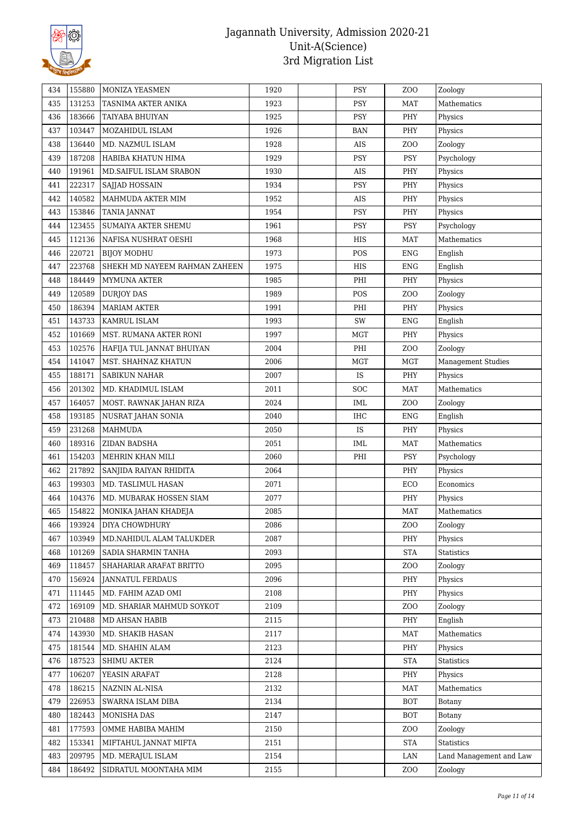

| 434 | 155880 | MONIZA YEASMEN                | 1920 | <b>PSY</b> | ZOO             | Zoology                   |
|-----|--------|-------------------------------|------|------------|-----------------|---------------------------|
| 435 | 131253 | TASNIMA AKTER ANIKA           | 1923 | PSY        | <b>MAT</b>      | Mathematics               |
| 436 | 183666 | TAIYABA BHUIYAN               | 1925 | PSY        | PHY             | Physics                   |
| 437 | 103447 | MOZAHIDUL ISLAM               | 1926 | <b>BAN</b> | PHY             | Physics                   |
| 438 | 136440 | MD. NAZMUL ISLAM              | 1928 | AIS        | ZO <sub>O</sub> | Zoology                   |
| 439 | 187208 | HABIBA KHATUN HIMA            | 1929 | PSY        | PSY             | Psychology                |
| 440 | 191961 | MD. SAIFUL ISLAM SRABON       | 1930 | AIS        | PHY             | Physics                   |
| 441 | 222317 | SAJJAD HOSSAIN                | 1934 | PSY        | PHY             | Physics                   |
| 442 | 140582 | MAHMUDA AKTER MIM             | 1952 | AIS        | PHY             | Physics                   |
| 443 | 153846 | <b>TANIA JANNAT</b>           | 1954 | PSY        | PHY             | Physics                   |
| 444 | 123455 | SUMAIYA AKTER SHEMU           | 1961 | PSY        | PSY             | Psychology                |
| 445 | 112136 | NAFISA NUSHRAT OESHI          | 1968 | HIS        | MAT             | Mathematics               |
| 446 | 220721 | <b>BIJOY MODHU</b>            | 1973 | POS        | ${\rm ENG}$     | English                   |
| 447 | 223768 | SHEKH MD NAYEEM RAHMAN ZAHEEN | 1975 | HIS        | ${\rm ENG}$     | English                   |
| 448 | 184449 | MYMUNA AKTER                  | 1985 | PHI        | PHY             | Physics                   |
| 449 | 120589 | <b>DURJOY DAS</b>             | 1989 | POS        | ZO <sub>O</sub> | Zoology                   |
| 450 | 186394 | <b>MARIAM AKTER</b>           | 1991 | PHI        | PHY             | Physics                   |
| 451 | 143733 | KAMRUL ISLAM                  | 1993 | SW         | ${\rm ENG}$     | English                   |
| 452 | 101669 | MST. RUMANA AKTER RONI        | 1997 | <b>MGT</b> | PHY             | Physics                   |
| 453 | 102576 | HAFIJA TUL JANNAT BHUIYAN     | 2004 | PHI        | ZOO             | Zoology                   |
| 454 | 141047 | MST. SHAHNAZ KHATUN           | 2006 | <b>MGT</b> | MGT             | <b>Management Studies</b> |
| 455 | 188171 | <b>SABIKUN NAHAR</b>          | 2007 | IS         | PHY             | Physics                   |
| 456 | 201302 | MD. KHADIMUL ISLAM            | 2011 | SOC        | <b>MAT</b>      | Mathematics               |
| 457 | 164057 | MOST. RAWNAK JAHAN RIZA       | 2024 | IML        | ZO <sub>O</sub> | Zoology                   |
| 458 | 193185 | NUSRAT JAHAN SONIA            | 2040 | IHC        | <b>ENG</b>      | English                   |
| 459 | 231268 | <b>MAHMUDA</b>                | 2050 | IS         | PHY             | Physics                   |
| 460 | 189316 | ZIDAN BADSHA                  | 2051 | IML        | MAT             | Mathematics               |
| 461 | 154203 | MEHRIN KHAN MILI              | 2060 | PHI        | <b>PSY</b>      | Psychology                |
| 462 | 217892 | SANJIDA RAIYAN RHIDITA        | 2064 |            | PHY             | Physics                   |
| 463 | 199303 | MD. TASLIMUL HASAN            | 2071 |            | ECO             | $\!$ Economics            |
| 464 | 104376 | MD. MUBARAK HOSSEN SIAM       | 2077 |            | PHY             | Physics                   |
| 465 | 154822 | MONIKA JAHAN KHADEJA          | 2085 |            | MAT             | Mathematics               |
| 466 | 193924 | <b>DIYA CHOWDHURY</b>         | 2086 |            | ZOO             | Zoology                   |
| 467 | 103949 | MD.NAHIDUL ALAM TALUKDER      | 2087 |            | PHY             | Physics                   |
| 468 | 101269 | SADIA SHARMIN TANHA           | 2093 |            | <b>STA</b>      | Statistics                |
| 469 | 118457 | SHAHARIAR ARAFAT BRITTO       | 2095 |            | ZOO             | Zoology                   |
| 470 | 156924 | <b>JANNATUL FERDAUS</b>       | 2096 |            | PHY             | Physics                   |
| 471 | 111445 | MD. FAHIM AZAD OMI            | 2108 |            | PHY             | Physics                   |
| 472 | 169109 | MD. SHARIAR MAHMUD SOYKOT     | 2109 |            | ZOO             | Zoology                   |
| 473 | 210488 | MD AHSAN HABIB                | 2115 |            | PHY             | English                   |
| 474 | 143930 | MD. SHAKIB HASAN              | 2117 |            | MAT             | Mathematics               |
| 475 | 181544 | MD. SHAHIN ALAM               | 2123 |            | PHY             | Physics                   |
| 476 | 187523 | <b>SHIMU AKTER</b>            | 2124 |            | <b>STA</b>      | Statistics                |
| 477 | 106207 | YEASIN ARAFAT                 | 2128 |            | PHY             | Physics                   |
| 478 | 186215 | NAZNIN AL-NISA                | 2132 |            | MAT             | Mathematics               |
| 479 | 226953 | SWARNA ISLAM DIBA             | 2134 |            | <b>BOT</b>      | Botany                    |
| 480 | 182443 | MONISHA DAS                   | 2147 |            | <b>BOT</b>      | Botany                    |
| 481 | 177593 | OMME HABIBA MAHIM             | 2150 |            | ZOO             | Zoology                   |
| 482 | 153341 | MIFTAHUL JANNAT MIFTA         | 2151 |            | <b>STA</b>      | Statistics                |
| 483 | 209795 | MD. MERAJUL ISLAM             | 2154 |            | LAN             | Land Management and Law   |
| 484 | 186492 | SIDRATUL MOONTAHA MIM         | 2155 |            | ZOO             | Zoology                   |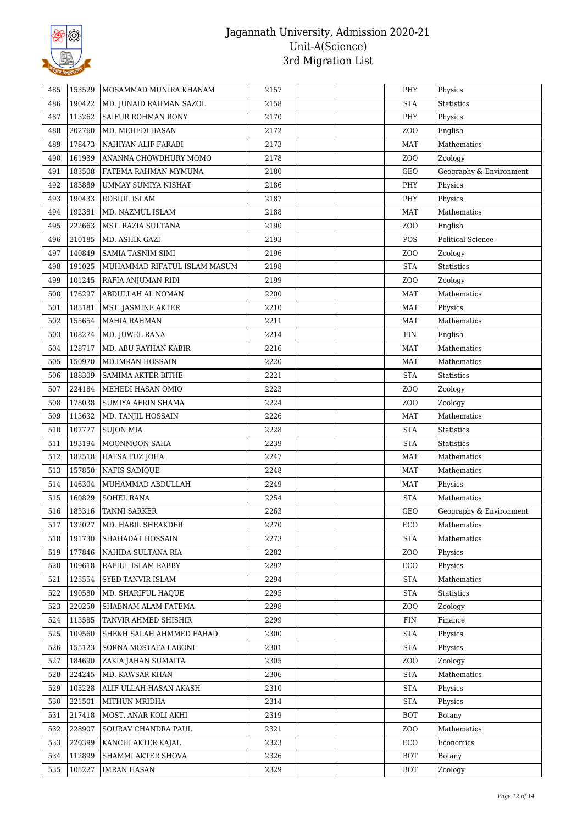

| 485 | 153529 | MOSAMMAD MUNIRA KHANAM       | 2157 |  | PHY              | Physics                 |
|-----|--------|------------------------------|------|--|------------------|-------------------------|
| 486 | 190422 | MD. JUNAID RAHMAN SAZOL      | 2158 |  | <b>STA</b>       | Statistics              |
| 487 | 113262 | SAIFUR ROHMAN RONY           | 2170 |  | PHY              | Physics                 |
| 488 | 202760 | MD. MEHEDI HASAN             | 2172 |  | ZOO              | English                 |
| 489 | 178473 | NAHIYAN ALIF FARABI          | 2173 |  | <b>MAT</b>       | Mathematics             |
| 490 | 161939 | ANANNA CHOWDHURY MOMO        | 2178 |  | ZO <sub>O</sub>  | Zoology                 |
| 491 | 183508 | FATEMA RAHMAN MYMUNA         | 2180 |  | GEO              | Geography & Environment |
| 492 | 183889 | UMMAY SUMIYA NISHAT          | 2186 |  | PHY              | Physics                 |
| 493 | 190433 | ROBIUL ISLAM                 | 2187 |  | PHY              | Physics                 |
| 494 | 192381 | MD. NAZMUL ISLAM             | 2188 |  | <b>MAT</b>       | Mathematics             |
| 495 | 222663 | MST. RAZIA SULTANA           | 2190 |  | Z <sub>O</sub> O | English                 |
| 496 | 210185 | MD. ASHIK GAZI               | 2193 |  | POS              | Political Science       |
| 497 | 140849 | SAMIA TASNIM SIMI            | 2196 |  | ZOO              | Zoology                 |
| 498 | 191025 | MUHAMMAD RIFATUL ISLAM MASUM | 2198 |  | <b>STA</b>       | Statistics              |
| 499 | 101245 | RAFIA ANJUMAN RIDI           | 2199 |  | ZO <sub>O</sub>  | Zoology                 |
| 500 | 176297 | ABDULLAH AL NOMAN            | 2200 |  | <b>MAT</b>       | Mathematics             |
| 501 | 185181 | MST. JASMINE AKTER           | 2210 |  | <b>MAT</b>       | Physics                 |
| 502 | 155654 | <b>MAHIA RAHMAN</b>          | 2211 |  | <b>MAT</b>       | Mathematics             |
| 503 | 108274 | MD. JUWEL RANA               | 2214 |  | <b>FIN</b>       | English                 |
| 504 | 128717 | MD. ABU RAYHAN KABIR         | 2216 |  | MAT              | Mathematics             |
| 505 | 150970 | MD.IMRAN HOSSAIN             | 2220 |  | MAT              | Mathematics             |
| 506 | 188309 | SAMIMA AKTER BITHE           | 2221 |  | <b>STA</b>       | Statistics              |
| 507 | 224184 | MEHEDI HASAN OMIO            | 2223 |  | ZO <sub>O</sub>  | Zoology                 |
| 508 | 178038 | SUMIYA AFRIN SHAMA           | 2224 |  | Z <sub>0</sub>   | Zoology                 |
| 509 | 113632 | MD. TANJIL HOSSAIN           | 2226 |  | MAT              | Mathematics             |
| 510 | 107777 | <b>SUJON MIA</b>             | 2228 |  | <b>STA</b>       | <b>Statistics</b>       |
| 511 | 193194 | MOONMOON SAHA                | 2239 |  | <b>STA</b>       | <b>Statistics</b>       |
| 512 | 182518 | HAFSA TUZ JOHA               | 2247 |  | MAT              | Mathematics             |
| 513 | 157850 | <b>NAFIS SADIQUE</b>         | 2248 |  | MAT              | Mathematics             |
| 514 | 146304 | MUHAMMAD ABDULLAH            | 2249 |  | <b>MAT</b>       | Physics                 |
| 515 | 160829 | <b>SOHEL RANA</b>            | 2254 |  | <b>STA</b>       | Mathematics             |
| 516 | 183316 | <b>TANNI SARKER</b>          | 2263 |  | GEO              | Geography & Environment |
| 517 | 132027 | MD. HABIL SHEAKDER           | 2270 |  | ECO              | Mathematics             |
| 518 | 191730 | SHAHADAT HOSSAIN             | 2273 |  | <b>STA</b>       | Mathematics             |
| 519 | 177846 | NAHIDA SULTANA RIA           | 2282 |  | ZOO              | Physics                 |
| 520 | 109618 | RAFIUL ISLAM RABBY           | 2292 |  | ECO              | Physics                 |
| 521 | 125554 | SYED TANVIR ISLAM            | 2294 |  | <b>STA</b>       | Mathematics             |
| 522 | 190580 | MD. SHARIFUL HAQUE           | 2295 |  | <b>STA</b>       | Statistics              |
| 523 | 220250 | SHABNAM ALAM FATEMA          | 2298 |  | ZOO              | Zoology                 |
| 524 | 113585 | TANVIR AHMED SHISHIR         | 2299 |  | FIN              | Finance                 |
| 525 | 109560 | SHEKH SALAH AHMMED FAHAD     | 2300 |  | <b>STA</b>       | Physics                 |
| 526 | 155123 | SORNA MOSTAFA LABONI         | 2301 |  | <b>STA</b>       | Physics                 |
| 527 | 184690 | ZAKIA JAHAN SUMAITA          | 2305 |  | ZOO              | Zoology                 |
| 528 | 224245 | MD. KAWSAR KHAN              | 2306 |  | <b>STA</b>       | Mathematics             |
| 529 | 105228 | ALIF-ULLAH-HASAN AKASH       | 2310 |  | <b>STA</b>       | Physics                 |
| 530 | 221501 | MITHUN MRIDHA                | 2314 |  | <b>STA</b>       | Physics                 |
| 531 | 217418 | MOST. ANAR KOLI AKHI         | 2319 |  | <b>BOT</b>       | Botany                  |
| 532 | 228907 | SOURAV CHANDRA PAUL          | 2321 |  | ZO <sub>O</sub>  | Mathematics             |
| 533 | 220399 | KANCHI AKTER KAJAL           | 2323 |  | ECO              | Economics               |
| 534 | 112899 | SHAMMI AKTER SHOVA           | 2326 |  | <b>BOT</b>       | <b>Botany</b>           |
| 535 | 105227 | <b>IMRAN HASAN</b>           | 2329 |  | BOT              | Zoology                 |
|     |        |                              |      |  |                  |                         |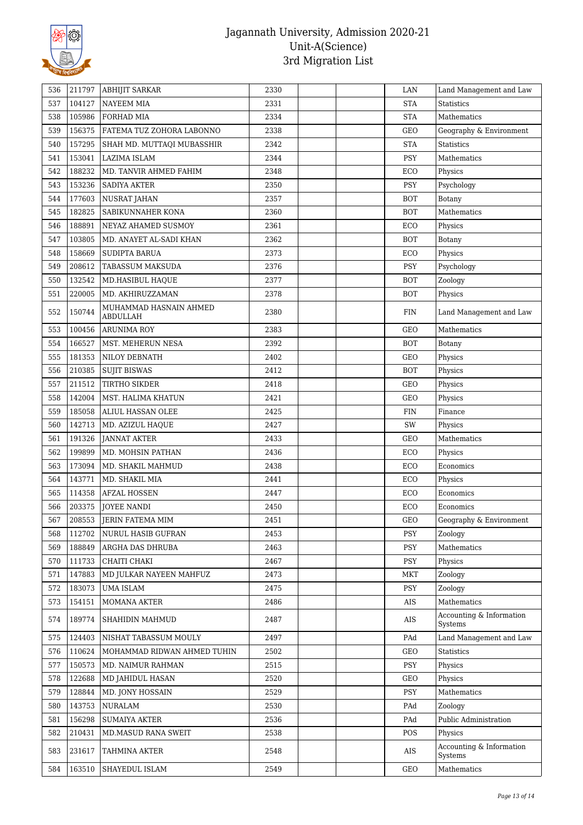

| 536 | 211797 | <b>ABHIJIT SARKAR</b>              | 2330 |  | LAN        | Land Management and Law             |
|-----|--------|------------------------------------|------|--|------------|-------------------------------------|
| 537 | 104127 | <b>NAYEEM MIA</b>                  | 2331 |  | <b>STA</b> | <b>Statistics</b>                   |
| 538 | 105986 | FORHAD MIA                         | 2334 |  | <b>STA</b> | Mathematics                         |
| 539 | 156375 | FATEMA TUZ ZOHORA LABONNO          | 2338 |  | GEO        | Geography & Environment             |
| 540 | 157295 | SHAH MD. MUTTAQI MUBASSHIR         | 2342 |  | <b>STA</b> | Statistics                          |
| 541 | 153041 | LAZIMA ISLAM                       | 2344 |  | <b>PSY</b> | Mathematics                         |
| 542 | 188232 | MD. TANVIR AHMED FAHIM             | 2348 |  | ECO        | Physics                             |
| 543 | 153236 | <b>SADIYA AKTER</b>                | 2350 |  | <b>PSY</b> | Psychology                          |
| 544 | 177603 | <b>NUSRAT JAHAN</b>                | 2357 |  | <b>BOT</b> | Botany                              |
| 545 | 182825 | SABIKUNNAHER KONA                  | 2360 |  | <b>BOT</b> | Mathematics                         |
| 546 | 188891 | NEYAZ AHAMED SUSMOY                | 2361 |  | ECO        | Physics                             |
| 547 | 103805 | MD. ANAYET AL-SADI KHAN            | 2362 |  | <b>BOT</b> | Botany                              |
| 548 | 158669 | SUDIPTA BARUA                      | 2373 |  | ECO        | Physics                             |
| 549 | 208612 | TABASSUM MAKSUDA                   | 2376 |  | <b>PSY</b> | Psychology                          |
| 550 | 132542 | MD.HASIBUL HAQUE                   | 2377 |  | BOT        | Zoology                             |
| 551 | 220005 | MD. AKHIRUZZAMAN                   | 2378 |  | <b>BOT</b> | Physics                             |
| 552 | 150744 | MUHAMMAD HASNAIN AHMED<br>ABDULLAH | 2380 |  | <b>FIN</b> | Land Management and Law             |
| 553 | 100456 | <b>ARUNIMA ROY</b>                 | 2383 |  | GEO        | Mathematics                         |
| 554 | 166527 | MST. MEHERUN NESA                  | 2392 |  | <b>BOT</b> | Botany                              |
| 555 | 181353 | NILOY DEBNATH                      | 2402 |  | GEO        | Physics                             |
| 556 | 210385 | <b>SUJIT BISWAS</b>                | 2412 |  | <b>BOT</b> | Physics                             |
| 557 | 211512 | TIRTHO SIKDER                      | 2418 |  | GEO        | Physics                             |
| 558 | 142004 | MST. HALIMA KHATUN                 | 2421 |  | GEO        | Physics                             |
| 559 | 185058 | ALIUL HASSAN OLEE                  | 2425 |  | <b>FIN</b> | Finance                             |
| 560 | 142713 | MD. AZIZUL HAQUE                   | 2427 |  | SW         | Physics                             |
| 561 | 191326 | <b>JANNAT AKTER</b>                | 2433 |  | GEO        | Mathematics                         |
| 562 | 199899 | MD. MOHSIN PATHAN                  | 2436 |  | ECO        | Physics                             |
| 563 | 173094 | MD. SHAKIL MAHMUD                  | 2438 |  | ECO        | Economics                           |
| 564 | 143771 | MD. SHAKIL MIA                     | 2441 |  | ECO        | Physics                             |
| 565 | 114358 | <b>AFZAL HOSSEN</b>                | 2447 |  | ECO        | Economics                           |
| 566 | 203375 | <b>JOYEE NANDI</b>                 | 2450 |  | ECO        | Economics                           |
| 567 | 208553 | JERIN FATEMA MIM                   | 2451 |  | GEO        | Geography & Environment             |
| 568 | 112702 | NURUL HASIB GUFRAN                 | 2453 |  | <b>PSY</b> | Zoology                             |
| 569 | 188849 | ARGHA DAS DHRUBA                   | 2463 |  | <b>PSY</b> | Mathematics                         |
| 570 | 111733 | CHAITI CHAKI                       | 2467 |  | PSY        | Physics                             |
| 571 | 147883 | MD JULKAR NAYEEN MAHFUZ            | 2473 |  | MKT        | Zoology                             |
| 572 | 183073 | <b>UMA ISLAM</b>                   | 2475 |  | <b>PSY</b> | Zoology                             |
| 573 | 154151 | MOMANA AKTER                       | 2486 |  | AIS        | Mathematics                         |
| 574 | 189774 | SHAHIDIN MAHMUD                    | 2487 |  | AIS        | Accounting & Information<br>Systems |
| 575 | 124403 | NISHAT TABASSUM MOULY              | 2497 |  | PAd        | Land Management and Law             |
| 576 | 110624 | MOHAMMAD RIDWAN AHMED TUHIN        | 2502 |  | GEO        | <b>Statistics</b>                   |
| 577 | 150573 | MD. NAIMUR RAHMAN                  | 2515 |  | <b>PSY</b> | Physics                             |
| 578 | 122688 | MD JAHIDUL HASAN                   | 2520 |  | GEO        | Physics                             |
| 579 | 128844 | MD. JONY HOSSAIN                   | 2529 |  | PSY        | Mathematics                         |
| 580 | 143753 | <b>NURALAM</b>                     | 2530 |  | PAd        | Zoology                             |
| 581 | 156298 | <b>SUMAIYA AKTER</b>               | 2536 |  | PAd        | Public Administration               |
| 582 | 210431 | MD.MASUD RANA SWEIT                | 2538 |  | POS        | Physics                             |
| 583 | 231617 | TAHMINA AKTER                      | 2548 |  | AIS        | Accounting & Information<br>Systems |
| 584 | 163510 | SHAYEDUL ISLAM                     | 2549 |  | GEO        | Mathematics                         |